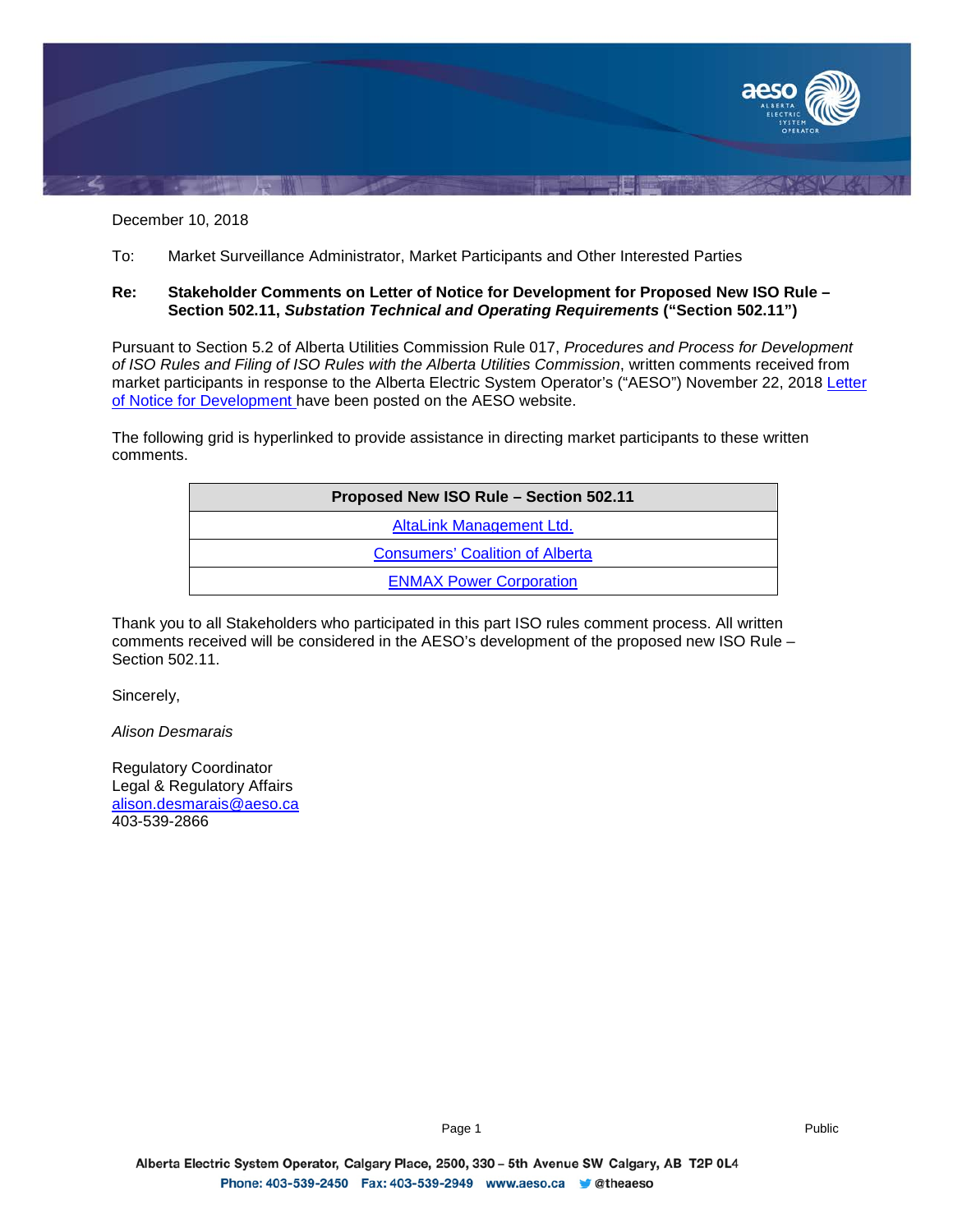

December 10, 2018

To: Market Surveillance Administrator, Market Participants and Other Interested Parties

#### **Re: Stakeholder Comments on Letter of Notice for Development for Proposed New ISO Rule – Section 502.11,** *Substation Technical and Operating Requirements* **("Section 502.11")**

Pursuant to Section 5.2 of Alberta Utilities Commission Rule 017, *Procedures and Process for Development of ISO Rules and Filing of ISO Rules with the Alberta Utilities Commission*, written comments received from market participants in response to the Alberta Electric System Operator's ("AESO") November 22, 2018 Letter [of Notice for Development](https://www.aeso.ca/assets/Uploads/Letter-of-Notice-for-Development-of-Rule-502.11-Stage-1.pdf) have been posted on the AESO website.

The following grid is hyperlinked to provide assistance in directing market participants to these written comments.

| Proposed New ISO Rule - Section 502.11 |  |
|----------------------------------------|--|
| AltaLink Management Ltd.               |  |
| <b>Consumers' Coalition of Alberta</b> |  |
| <b>ENMAX Power Corporation</b>         |  |

Thank you to all Stakeholders who participated in this part ISO rules comment process. All written comments received will be considered in the AESO's development of the proposed new ISO Rule – Section 502.11.

Sincerely,

*Alison Desmarais*

Regulatory Coordinator Legal & Regulatory Affairs [alison.desmarais@aeso.ca](mailto:alison.desmarais@aeso.ca) 403-539-2866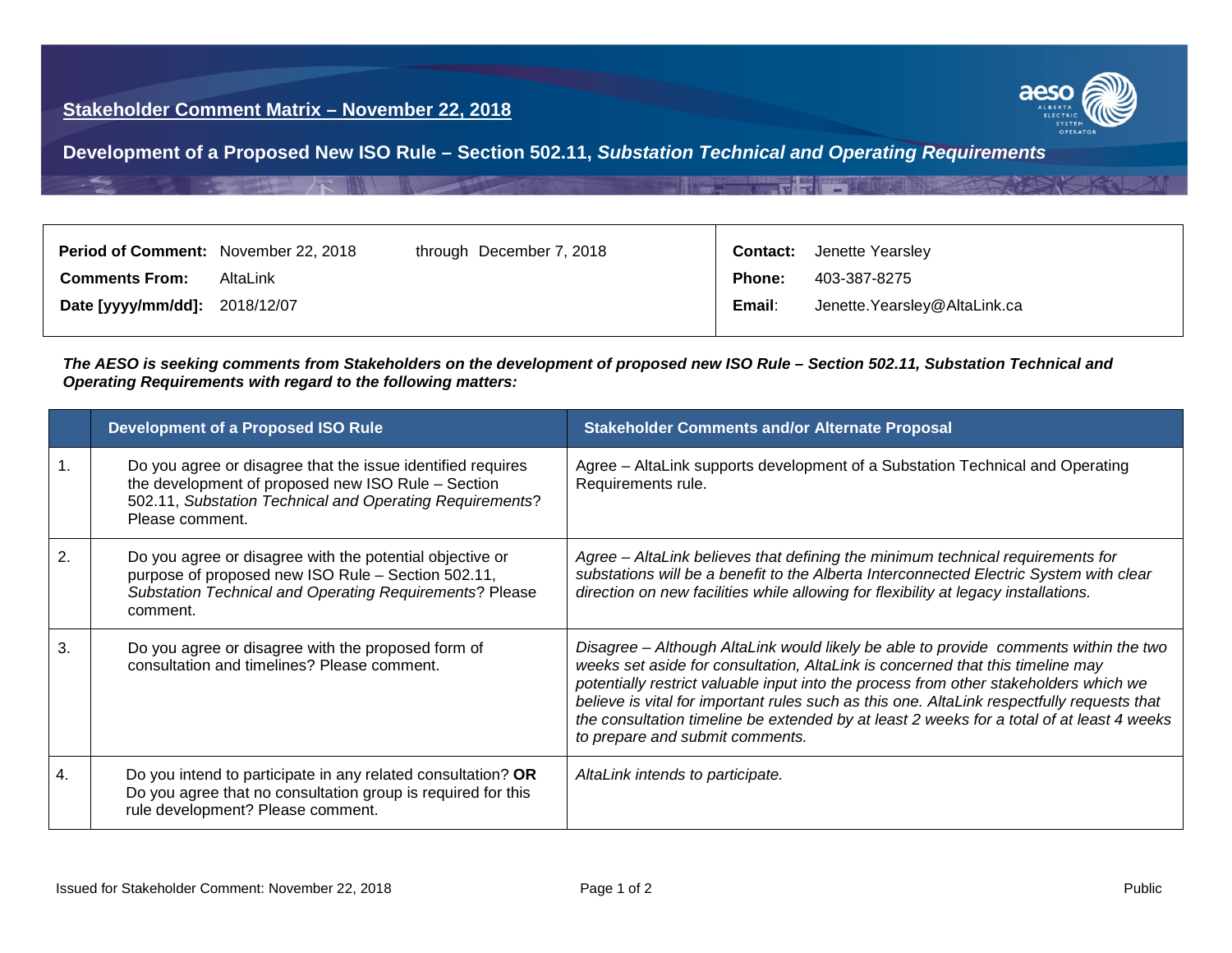

<span id="page-1-0"></span>**Development of a Proposed New ISO Rule – Section 502.11,** *Substation Technical and Operating Requirements*

| <b>Period of Comment:</b> November 22, 2018 |          | through December 7, 2018 |               | <b>Contact:</b> Jenette Yearsley |
|---------------------------------------------|----------|--------------------------|---------------|----------------------------------|
| <b>Comments From:</b>                       | AltaLink |                          | <b>Phone:</b> | 403-387-8275                     |
| Date [yyyy/mm/dd]: 2018/12/07               |          |                          | Email:        | Jenette. Yearsley@AltaLink.ca    |

#### *The AESO is seeking comments from Stakeholders on the development of proposed new ISO Rule – Section 502.11, Substation Technical and Operating Requirements with regard to the following matters:*

|                  | <b>Development of a Proposed ISO Rule</b>                                                                                                                                                        | <b>Stakeholder Comments and/or Alternate Proposal</b>                                                                                                                                                                                                                                                                                                                                                                                                                                         |
|------------------|--------------------------------------------------------------------------------------------------------------------------------------------------------------------------------------------------|-----------------------------------------------------------------------------------------------------------------------------------------------------------------------------------------------------------------------------------------------------------------------------------------------------------------------------------------------------------------------------------------------------------------------------------------------------------------------------------------------|
|                  | Do you agree or disagree that the issue identified requires<br>the development of proposed new ISO Rule - Section<br>502.11, Substation Technical and Operating Requirements?<br>Please comment. | Agree – AltaLink supports development of a Substation Technical and Operating<br>Requirements rule.                                                                                                                                                                                                                                                                                                                                                                                           |
| $\overline{2}$ . | Do you agree or disagree with the potential objective or<br>purpose of proposed new ISO Rule - Section 502.11,<br>Substation Technical and Operating Requirements? Please<br>comment.            | Agree - AltaLink believes that defining the minimum technical requirements for<br>substations will be a benefit to the Alberta Interconnected Electric System with clear<br>direction on new facilities while allowing for flexibility at legacy installations.                                                                                                                                                                                                                               |
| 3.               | Do you agree or disagree with the proposed form of<br>consultation and timelines? Please comment.                                                                                                | Disagree – Although AltaLink would likely be able to provide comments within the two<br>weeks set aside for consultation, AltaLink is concerned that this timeline may<br>potentially restrict valuable input into the process from other stakeholders which we<br>believe is vital for important rules such as this one. AltaLink respectfully requests that<br>the consultation timeline be extended by at least 2 weeks for a total of at least 4 weeks<br>to prepare and submit comments. |
| 4.               | Do you intend to participate in any related consultation? OR<br>Do you agree that no consultation group is required for this<br>rule development? Please comment.                                | AltaLink intends to participate.                                                                                                                                                                                                                                                                                                                                                                                                                                                              |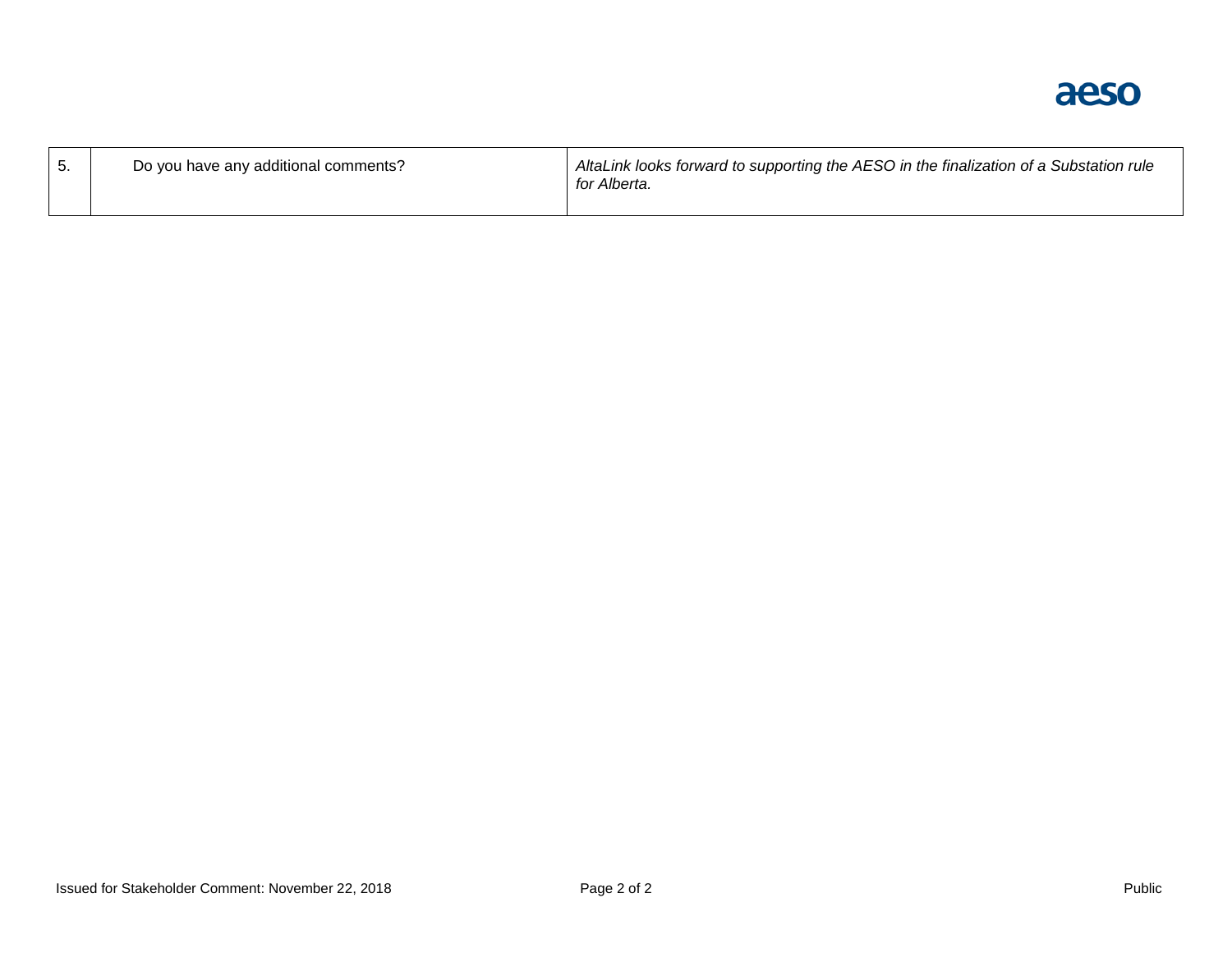aeso

| Do you have any additional comments? | AltaLink looks forward to supporting the AESO in the finalization of a Substation rule<br>for Alberta. |
|--------------------------------------|--------------------------------------------------------------------------------------------------------|
|                                      |                                                                                                        |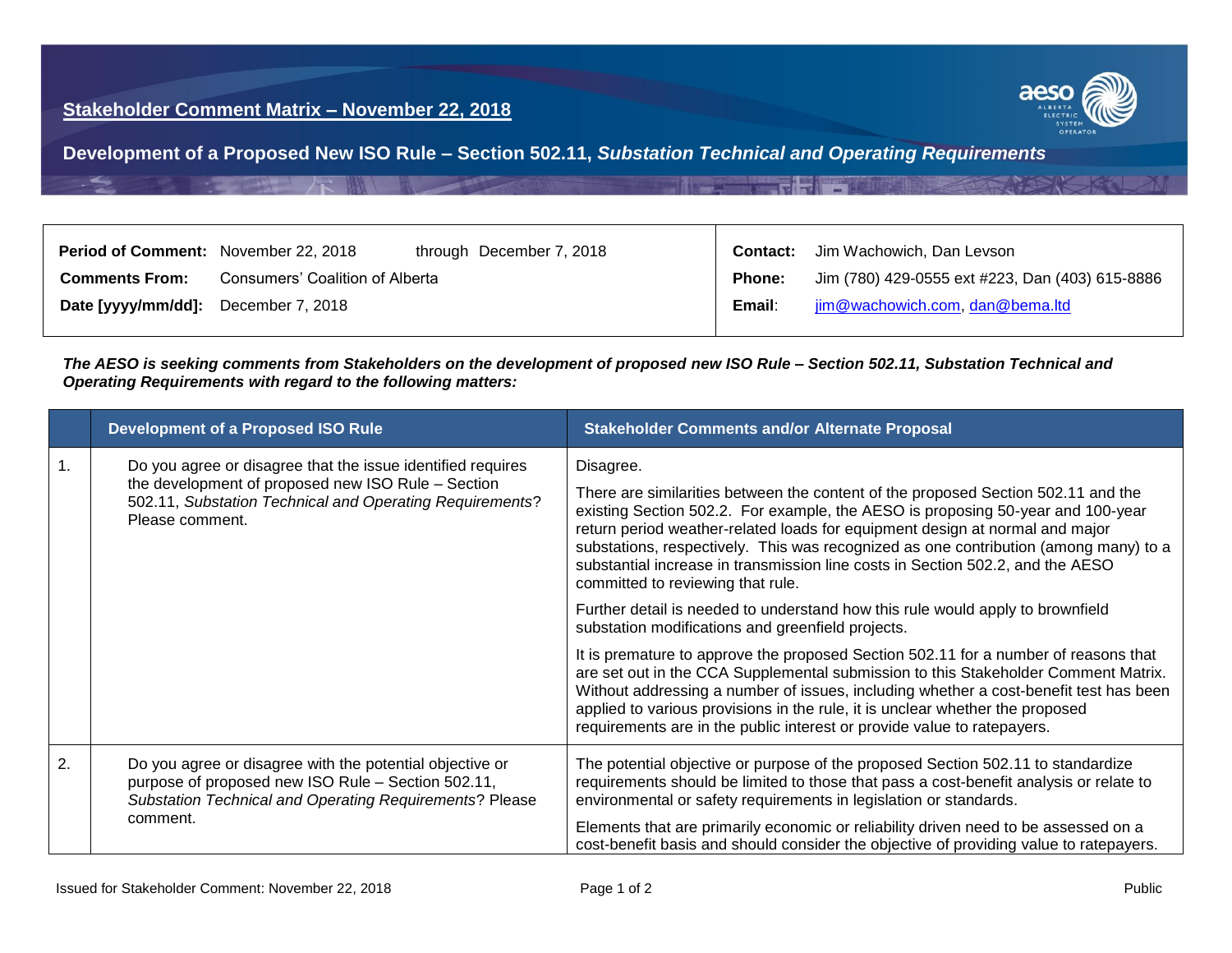

<span id="page-3-0"></span>**Development of a Proposed New ISO Rule – Section 502.11,** *Substation Technical and Operating Requirements*

| <b>Period of Comment:</b> November 22, 2018 |                                 | through December 7, 2018 | Contact:      | Jim Wachowich, Dan Levson                       |
|---------------------------------------------|---------------------------------|--------------------------|---------------|-------------------------------------------------|
| <b>Comments From:</b>                       | Consumers' Coalition of Alberta |                          | <b>Phone:</b> | Jim (780) 429-0555 ext #223, Dan (403) 615-8886 |
| Date [yyyy/mm/dd]: December 7, 2018         |                                 |                          | Email:        | jim@wachowich.com, dan@bema.ltd                 |

*The AESO is seeking comments from Stakeholders on the development of proposed new ISO Rule – Section 502.11, Substation Technical and Operating Requirements with regard to the following matters:*

|    | <b>Development of a Proposed ISO Rule</b>                                                                                                                                                        | <b>Stakeholder Comments and/or Alternate Proposal</b>                                                                                                                                                                                                                                                                                                                                                                                                                            |
|----|--------------------------------------------------------------------------------------------------------------------------------------------------------------------------------------------------|----------------------------------------------------------------------------------------------------------------------------------------------------------------------------------------------------------------------------------------------------------------------------------------------------------------------------------------------------------------------------------------------------------------------------------------------------------------------------------|
|    | Do you agree or disagree that the issue identified requires<br>the development of proposed new ISO Rule - Section<br>502.11, Substation Technical and Operating Requirements?<br>Please comment. | Disagree.<br>There are similarities between the content of the proposed Section 502.11 and the<br>existing Section 502.2. For example, the AESO is proposing 50-year and 100-year<br>return period weather-related loads for equipment design at normal and major<br>substations, respectively. This was recognized as one contribution (among many) to a<br>substantial increase in transmission line costs in Section 502.2, and the AESO<br>committed to reviewing that rule. |
|    |                                                                                                                                                                                                  | Further detail is needed to understand how this rule would apply to brownfield<br>substation modifications and greenfield projects.                                                                                                                                                                                                                                                                                                                                              |
|    |                                                                                                                                                                                                  | It is premature to approve the proposed Section 502.11 for a number of reasons that<br>are set out in the CCA Supplemental submission to this Stakeholder Comment Matrix.<br>Without addressing a number of issues, including whether a cost-benefit test has been<br>applied to various provisions in the rule, it is unclear whether the proposed<br>requirements are in the public interest or provide value to ratepayers.                                                   |
| 2. | Do you agree or disagree with the potential objective or<br>purpose of proposed new ISO Rule - Section 502.11,<br>Substation Technical and Operating Requirements? Please<br>comment.            | The potential objective or purpose of the proposed Section 502.11 to standardize<br>requirements should be limited to those that pass a cost-benefit analysis or relate to<br>environmental or safety requirements in legislation or standards.<br>Elements that are primarily economic or reliability driven need to be assessed on a<br>cost-benefit basis and should consider the objective of providing value to ratepayers.                                                 |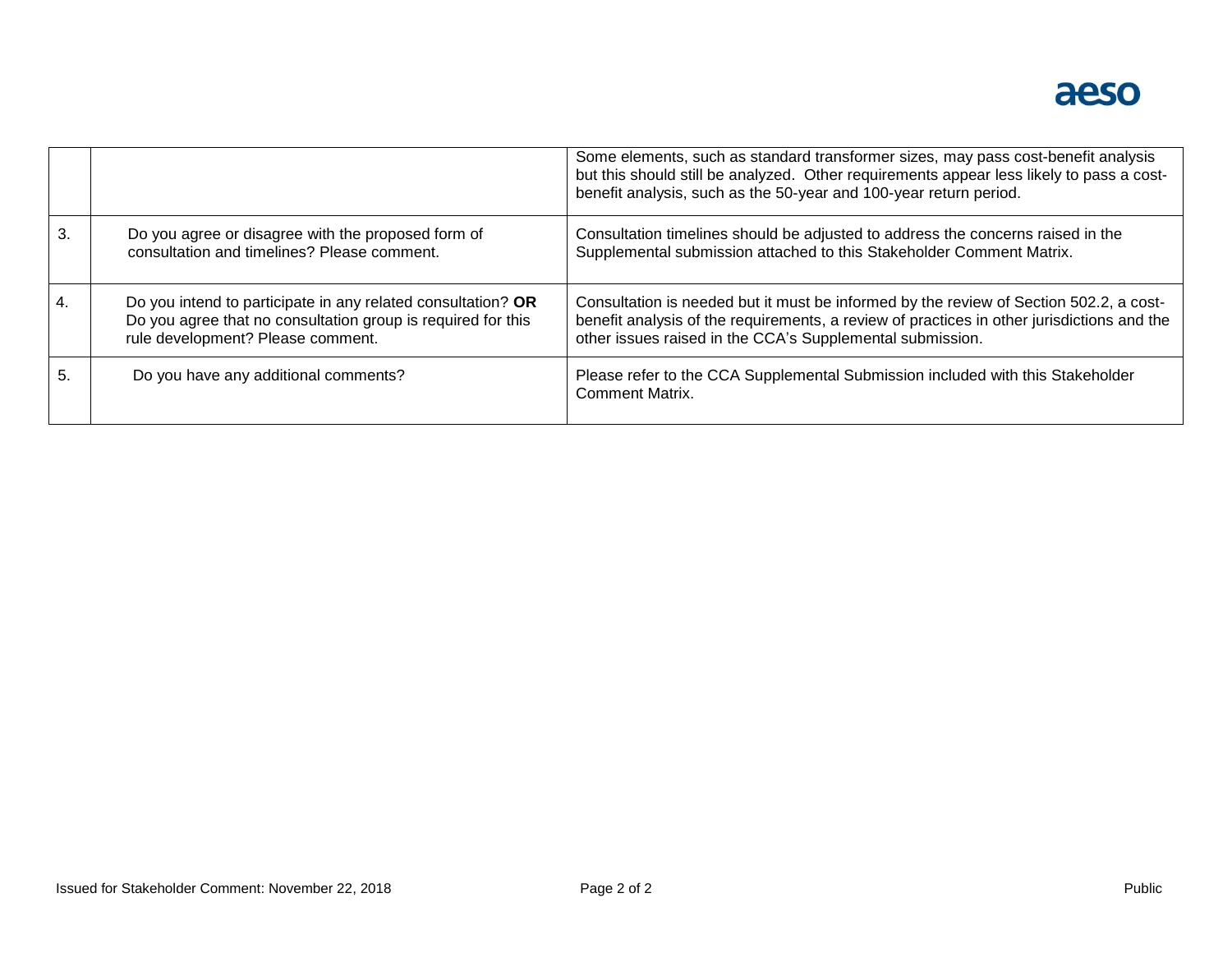|    |                                                                                                                                                                   | Some elements, such as standard transformer sizes, may pass cost-benefit analysis<br>but this should still be analyzed. Other requirements appear less likely to pass a cost-<br>benefit analysis, such as the 50-year and 100-year return period. |
|----|-------------------------------------------------------------------------------------------------------------------------------------------------------------------|----------------------------------------------------------------------------------------------------------------------------------------------------------------------------------------------------------------------------------------------------|
| 3. | Do you agree or disagree with the proposed form of<br>consultation and timelines? Please comment.                                                                 | Consultation timelines should be adjusted to address the concerns raised in the<br>Supplemental submission attached to this Stakeholder Comment Matrix.                                                                                            |
|    | Do you intend to participate in any related consultation? OR<br>Do you agree that no consultation group is required for this<br>rule development? Please comment. | Consultation is needed but it must be informed by the review of Section 502.2, a cost-<br>benefit analysis of the requirements, a review of practices in other jurisdictions and the<br>other issues raised in the CCA's Supplemental submission.  |
| h. | Do you have any additional comments?                                                                                                                              | Please refer to the CCA Supplemental Submission included with this Stakeholder<br><b>Comment Matrix.</b>                                                                                                                                           |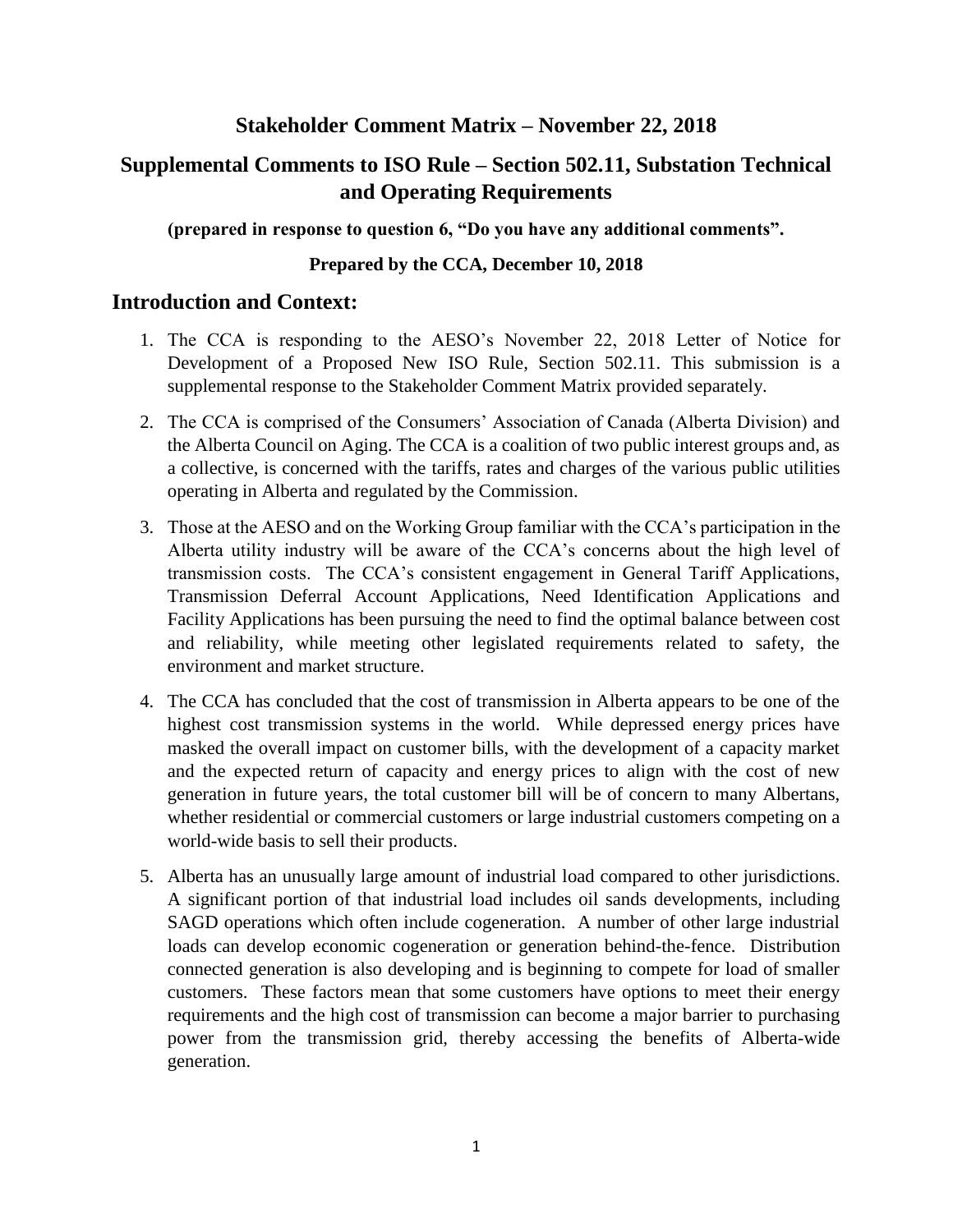# **Supplemental Comments to ISO Rule – Section 502.11, Substation Technical and Operating Requirements**

**(prepared in response to question 6, "Do you have any additional comments".**

## **Prepared by the CCA, December 10, 2018**

# **Introduction and Context:**

- 1. The CCA is responding to the AESO's November 22, 2018 Letter of Notice for Development of a Proposed New ISO Rule, Section 502.11. This submission is a supplemental response to the Stakeholder Comment Matrix provided separately.
- 2. The CCA is comprised of the Consumers' Association of Canada (Alberta Division) and the Alberta Council on Aging. The CCA is a coalition of two public interest groups and, as a collective, is concerned with the tariffs, rates and charges of the various public utilities operating in Alberta and regulated by the Commission.
- 3. Those at the AESO and on the Working Group familiar with the CCA's participation in the Alberta utility industry will be aware of the CCA's concerns about the high level of transmission costs. The CCA's consistent engagement in General Tariff Applications, Transmission Deferral Account Applications, Need Identification Applications and Facility Applications has been pursuing the need to find the optimal balance between cost and reliability, while meeting other legislated requirements related to safety, the environment and market structure.
- 4. The CCA has concluded that the cost of transmission in Alberta appears to be one of the highest cost transmission systems in the world. While depressed energy prices have masked the overall impact on customer bills, with the development of a capacity market and the expected return of capacity and energy prices to align with the cost of new generation in future years, the total customer bill will be of concern to many Albertans, whether residential or commercial customers or large industrial customers competing on a world-wide basis to sell their products.
- 5. Alberta has an unusually large amount of industrial load compared to other jurisdictions. A significant portion of that industrial load includes oil sands developments, including SAGD operations which often include cogeneration. A number of other large industrial loads can develop economic cogeneration or generation behind-the-fence. Distribution connected generation is also developing and is beginning to compete for load of smaller customers. These factors mean that some customers have options to meet their energy requirements and the high cost of transmission can become a major barrier to purchasing power from the transmission grid, thereby accessing the benefits of Alberta-wide generation.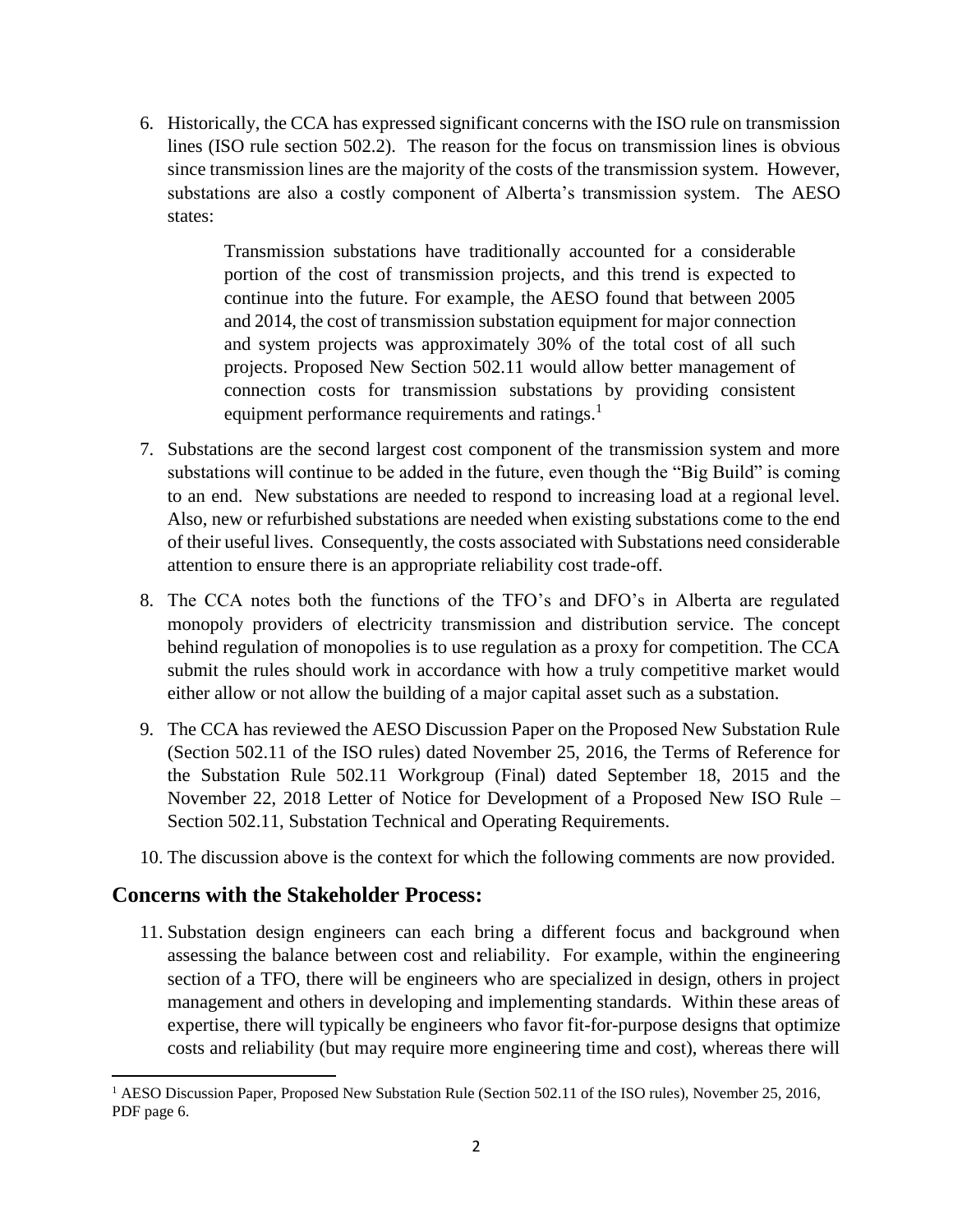6. Historically, the CCA has expressed significant concerns with the ISO rule on transmission lines (ISO rule section 502.2). The reason for the focus on transmission lines is obvious since transmission lines are the majority of the costs of the transmission system. However, substations are also a costly component of Alberta's transmission system. The AESO states:

> Transmission substations have traditionally accounted for a considerable portion of the cost of transmission projects, and this trend is expected to continue into the future. For example, the AESO found that between 2005 and 2014, the cost of transmission substation equipment for major connection and system projects was approximately 30% of the total cost of all such projects. Proposed New Section 502.11 would allow better management of connection costs for transmission substations by providing consistent equipment performance requirements and ratings.<sup>1</sup>

- 7. Substations are the second largest cost component of the transmission system and more substations will continue to be added in the future, even though the "Big Build" is coming to an end. New substations are needed to respond to increasing load at a regional level. Also, new or refurbished substations are needed when existing substations come to the end of their useful lives. Consequently, the costs associated with Substations need considerable attention to ensure there is an appropriate reliability cost trade-off.
- 8. The CCA notes both the functions of the TFO's and DFO's in Alberta are regulated monopoly providers of electricity transmission and distribution service. The concept behind regulation of monopolies is to use regulation as a proxy for competition. The CCA submit the rules should work in accordance with how a truly competitive market would either allow or not allow the building of a major capital asset such as a substation.
- 9. The CCA has reviewed the AESO Discussion Paper on the Proposed New Substation Rule (Section 502.11 of the ISO rules) dated November 25, 2016, the Terms of Reference for the Substation Rule 502.11 Workgroup (Final) dated September 18, 2015 and the November 22, 2018 Letter of Notice for Development of a Proposed New ISO Rule – Section 502.11, Substation Technical and Operating Requirements.
- 10. The discussion above is the context for which the following comments are now provided.

# **Concerns with the Stakeholder Process:**

 $\overline{a}$ 

11. Substation design engineers can each bring a different focus and background when assessing the balance between cost and reliability. For example, within the engineering section of a TFO, there will be engineers who are specialized in design, others in project management and others in developing and implementing standards. Within these areas of expertise, there will typically be engineers who favor fit-for-purpose designs that optimize costs and reliability (but may require more engineering time and cost), whereas there will

<sup>&</sup>lt;sup>1</sup> AESO Discussion Paper, Proposed New Substation Rule (Section 502.11 of the ISO rules), November 25, 2016, PDF page 6.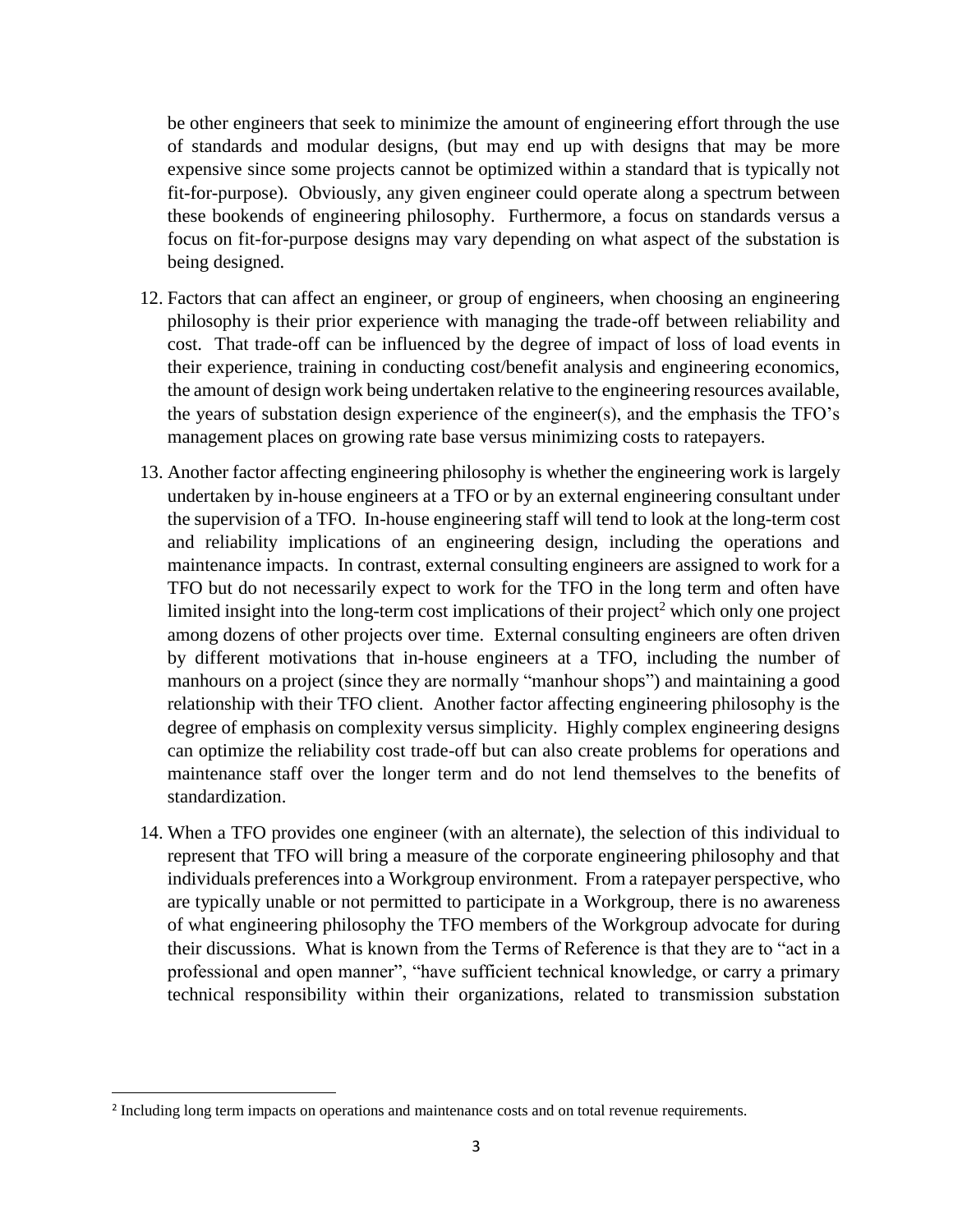be other engineers that seek to minimize the amount of engineering effort through the use of standards and modular designs, (but may end up with designs that may be more expensive since some projects cannot be optimized within a standard that is typically not fit-for-purpose). Obviously, any given engineer could operate along a spectrum between these bookends of engineering philosophy. Furthermore, a focus on standards versus a focus on fit-for-purpose designs may vary depending on what aspect of the substation is being designed.

- 12. Factors that can affect an engineer, or group of engineers, when choosing an engineering philosophy is their prior experience with managing the trade-off between reliability and cost. That trade-off can be influenced by the degree of impact of loss of load events in their experience, training in conducting cost/benefit analysis and engineering economics, the amount of design work being undertaken relative to the engineering resources available, the years of substation design experience of the engineer(s), and the emphasis the TFO's management places on growing rate base versus minimizing costs to ratepayers.
- 13. Another factor affecting engineering philosophy is whether the engineering work is largely undertaken by in-house engineers at a TFO or by an external engineering consultant under the supervision of a TFO. In-house engineering staff will tend to look at the long-term cost and reliability implications of an engineering design, including the operations and maintenance impacts. In contrast, external consulting engineers are assigned to work for a TFO but do not necessarily expect to work for the TFO in the long term and often have limited insight into the long-term cost implications of their project<sup>2</sup> which only one project among dozens of other projects over time. External consulting engineers are often driven by different motivations that in-house engineers at a TFO, including the number of manhours on a project (since they are normally "manhour shops") and maintaining a good relationship with their TFO client. Another factor affecting engineering philosophy is the degree of emphasis on complexity versus simplicity. Highly complex engineering designs can optimize the reliability cost trade-off but can also create problems for operations and maintenance staff over the longer term and do not lend themselves to the benefits of standardization.
- 14. When a TFO provides one engineer (with an alternate), the selection of this individual to represent that TFO will bring a measure of the corporate engineering philosophy and that individuals preferences into a Workgroup environment. From a ratepayer perspective, who are typically unable or not permitted to participate in a Workgroup, there is no awareness of what engineering philosophy the TFO members of the Workgroup advocate for during their discussions. What is known from the Terms of Reference is that they are to "act in a professional and open manner", "have sufficient technical knowledge, or carry a primary technical responsibility within their organizations, related to transmission substation

<sup>&</sup>lt;sup>2</sup> Including long term impacts on operations and maintenance costs and on total revenue requirements.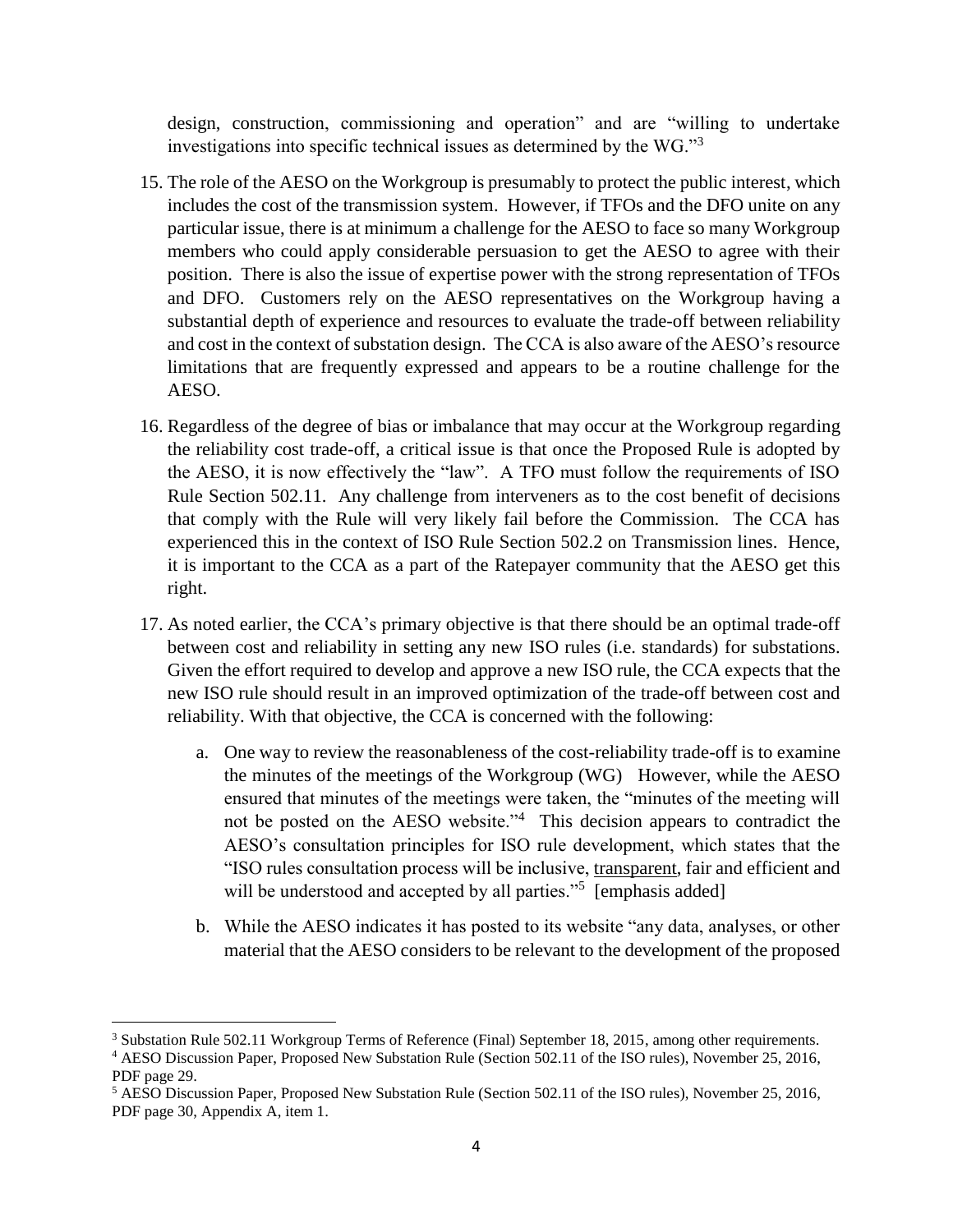design, construction, commissioning and operation" and are "willing to undertake investigations into specific technical issues as determined by the WG."<sup>3</sup>

- 15. The role of the AESO on the Workgroup is presumably to protect the public interest, which includes the cost of the transmission system. However, if TFOs and the DFO unite on any particular issue, there is at minimum a challenge for the AESO to face so many Workgroup members who could apply considerable persuasion to get the AESO to agree with their position. There is also the issue of expertise power with the strong representation of TFOs and DFO. Customers rely on the AESO representatives on the Workgroup having a substantial depth of experience and resources to evaluate the trade-off between reliability and cost in the context of substation design. The CCA is also aware of the AESO's resource limitations that are frequently expressed and appears to be a routine challenge for the AESO.
- 16. Regardless of the degree of bias or imbalance that may occur at the Workgroup regarding the reliability cost trade-off, a critical issue is that once the Proposed Rule is adopted by the AESO, it is now effectively the "law". A TFO must follow the requirements of ISO Rule Section 502.11. Any challenge from interveners as to the cost benefit of decisions that comply with the Rule will very likely fail before the Commission. The CCA has experienced this in the context of ISO Rule Section 502.2 on Transmission lines. Hence, it is important to the CCA as a part of the Ratepayer community that the AESO get this right.
- 17. As noted earlier, the CCA's primary objective is that there should be an optimal trade-off between cost and reliability in setting any new ISO rules (i.e. standards) for substations. Given the effort required to develop and approve a new ISO rule, the CCA expects that the new ISO rule should result in an improved optimization of the trade-off between cost and reliability. With that objective, the CCA is concerned with the following:
	- a. One way to review the reasonableness of the cost-reliability trade-off is to examine the minutes of the meetings of the Workgroup (WG) However, while the AESO ensured that minutes of the meetings were taken, the "minutes of the meeting will not be posted on the AESO website."<sup>4</sup> This decision appears to contradict the AESO's consultation principles for ISO rule development, which states that the "ISO rules consultation process will be inclusive, transparent, fair and efficient and will be understood and accepted by all parties."<sup>5</sup> [emphasis added]
	- b. While the AESO indicates it has posted to its website "any data, analyses, or other material that the AESO considers to be relevant to the development of the proposed

l

<sup>&</sup>lt;sup>3</sup> Substation Rule 502.11 Workgroup Terms of Reference (Final) September 18, 2015, among other requirements.

<sup>4</sup> AESO Discussion Paper, Proposed New Substation Rule (Section 502.11 of the ISO rules), November 25, 2016, PDF page 29.

<sup>5</sup> AESO Discussion Paper, Proposed New Substation Rule (Section 502.11 of the ISO rules), November 25, 2016, PDF page 30, Appendix A, item 1.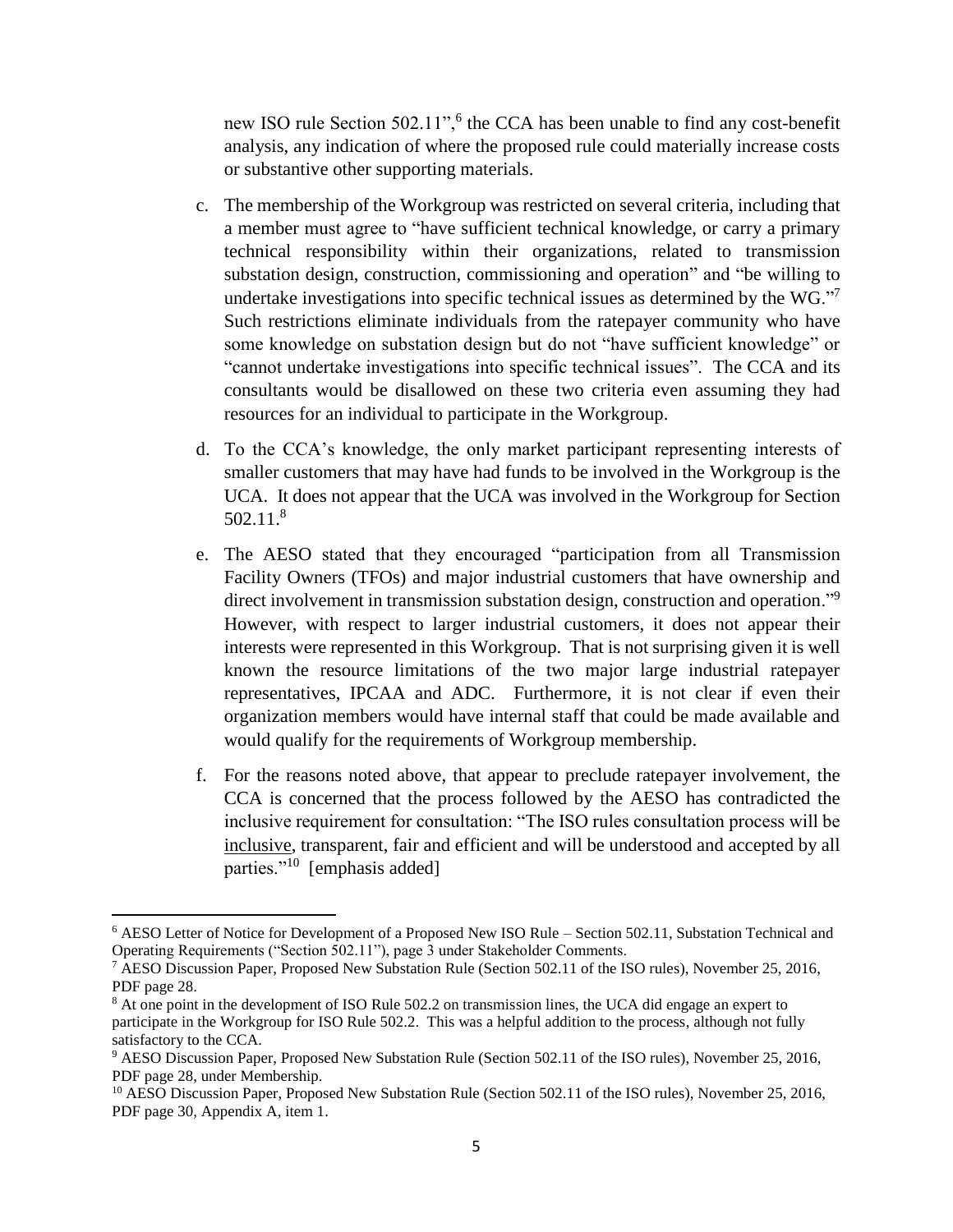new ISO rule Section 502.11",<sup>6</sup> the CCA has been unable to find any cost-benefit analysis, any indication of where the proposed rule could materially increase costs or substantive other supporting materials.

- c. The membership of the Workgroup was restricted on several criteria, including that a member must agree to "have sufficient technical knowledge, or carry a primary technical responsibility within their organizations, related to transmission substation design, construction, commissioning and operation" and "be willing to undertake investigations into specific technical issues as determined by the WG."<sup>7</sup> Such restrictions eliminate individuals from the ratepayer community who have some knowledge on substation design but do not "have sufficient knowledge" or "cannot undertake investigations into specific technical issues". The CCA and its consultants would be disallowed on these two criteria even assuming they had resources for an individual to participate in the Workgroup.
- d. To the CCA's knowledge, the only market participant representing interests of smaller customers that may have had funds to be involved in the Workgroup is the UCA. It does not appear that the UCA was involved in the Workgroup for Section 502.11. 8
- e. The AESO stated that they encouraged "participation from all Transmission Facility Owners (TFOs) and major industrial customers that have ownership and direct involvement in transmission substation design, construction and operation."<sup>9</sup> However, with respect to larger industrial customers, it does not appear their interests were represented in this Workgroup. That is not surprising given it is well known the resource limitations of the two major large industrial ratepayer representatives, IPCAA and ADC. Furthermore, it is not clear if even their organization members would have internal staff that could be made available and would qualify for the requirements of Workgroup membership.
- f. For the reasons noted above, that appear to preclude ratepayer involvement, the CCA is concerned that the process followed by the AESO has contradicted the inclusive requirement for consultation: "The ISO rules consultation process will be inclusive, transparent, fair and efficient and will be understood and accepted by all parties."<sup>10</sup> [emphasis added]

l

<sup>6</sup> AESO Letter of Notice for Development of a Proposed New ISO Rule – Section 502.11, Substation Technical and Operating Requirements ("Section 502.11"), page 3 under Stakeholder Comments.

<sup>7</sup> AESO Discussion Paper, Proposed New Substation Rule (Section 502.11 of the ISO rules), November 25, 2016, PDF page 28.

<sup>8</sup> At one point in the development of ISO Rule 502.2 on transmission lines, the UCA did engage an expert to participate in the Workgroup for ISO Rule 502.2. This was a helpful addition to the process, although not fully satisfactory to the CCA.

<sup>9</sup> AESO Discussion Paper, Proposed New Substation Rule (Section 502.11 of the ISO rules), November 25, 2016, PDF page 28, under Membership.

<sup>&</sup>lt;sup>10</sup> AESO Discussion Paper, Proposed New Substation Rule (Section 502.11 of the ISO rules), November 25, 2016, PDF page 30, Appendix A, item 1.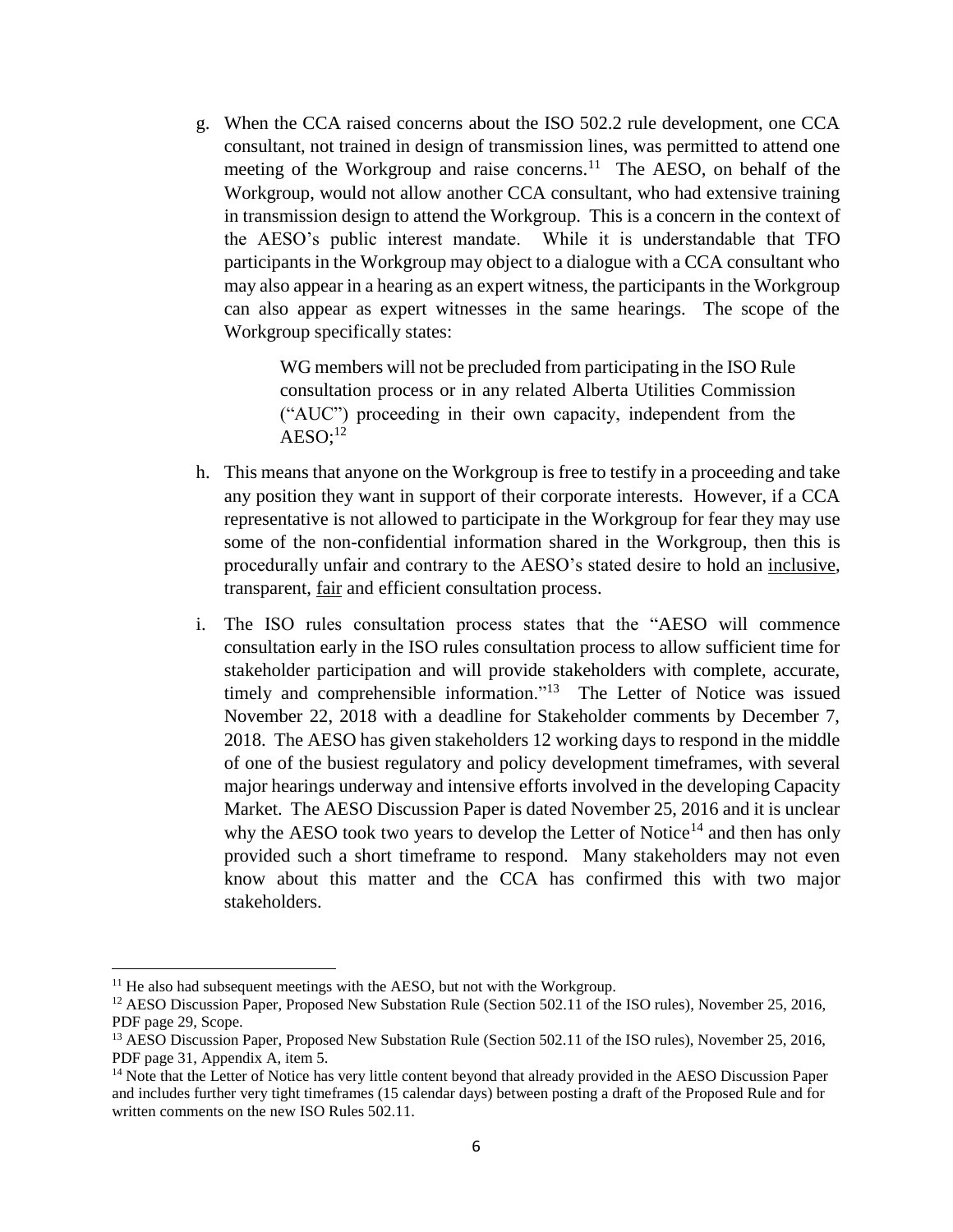g. When the CCA raised concerns about the ISO 502.2 rule development, one CCA consultant, not trained in design of transmission lines, was permitted to attend one meeting of the Workgroup and raise concerns.<sup>11</sup> The AESO, on behalf of the Workgroup, would not allow another CCA consultant, who had extensive training in transmission design to attend the Workgroup. This is a concern in the context of the AESO's public interest mandate. While it is understandable that TFO participants in the Workgroup may object to a dialogue with a CCA consultant who may also appear in a hearing as an expert witness, the participants in the Workgroup can also appear as expert witnesses in the same hearings. The scope of the Workgroup specifically states:

> WG members will not be precluded from participating in the ISO Rule consultation process or in any related Alberta Utilities Commission ("AUC") proceeding in their own capacity, independent from the  $AESO;^{12}$

- h. This means that anyone on the Workgroup is free to testify in a proceeding and take any position they want in support of their corporate interests. However, if a CCA representative is not allowed to participate in the Workgroup for fear they may use some of the non-confidential information shared in the Workgroup, then this is procedurally unfair and contrary to the AESO's stated desire to hold an inclusive, transparent, fair and efficient consultation process.
- i. The ISO rules consultation process states that the "AESO will commence consultation early in the ISO rules consultation process to allow sufficient time for stakeholder participation and will provide stakeholders with complete, accurate, timely and comprehensible information."<sup>13</sup> The Letter of Notice was issued November 22, 2018 with a deadline for Stakeholder comments by December 7, 2018. The AESO has given stakeholders 12 working days to respond in the middle of one of the busiest regulatory and policy development timeframes, with several major hearings underway and intensive efforts involved in the developing Capacity Market. The AESO Discussion Paper is dated November 25, 2016 and it is unclear why the AESO took two years to develop the Letter of Notice<sup>14</sup> and then has only provided such a short timeframe to respond. Many stakeholders may not even know about this matter and the CCA has confirmed this with two major stakeholders.

 $11$  He also had subsequent meetings with the AESO, but not with the Workgroup.

<sup>&</sup>lt;sup>12</sup> AESO Discussion Paper, Proposed New Substation Rule (Section 502.11 of the ISO rules), November 25, 2016, PDF page 29, Scope.

<sup>&</sup>lt;sup>13</sup> AESO Discussion Paper, Proposed New Substation Rule (Section 502.11 of the ISO rules), November 25, 2016, PDF page 31, Appendix A, item 5.

<sup>&</sup>lt;sup>14</sup> Note that the Letter of Notice has very little content beyond that already provided in the AESO Discussion Paper and includes further very tight timeframes (15 calendar days) between posting a draft of the Proposed Rule and for written comments on the new ISO Rules 502.11.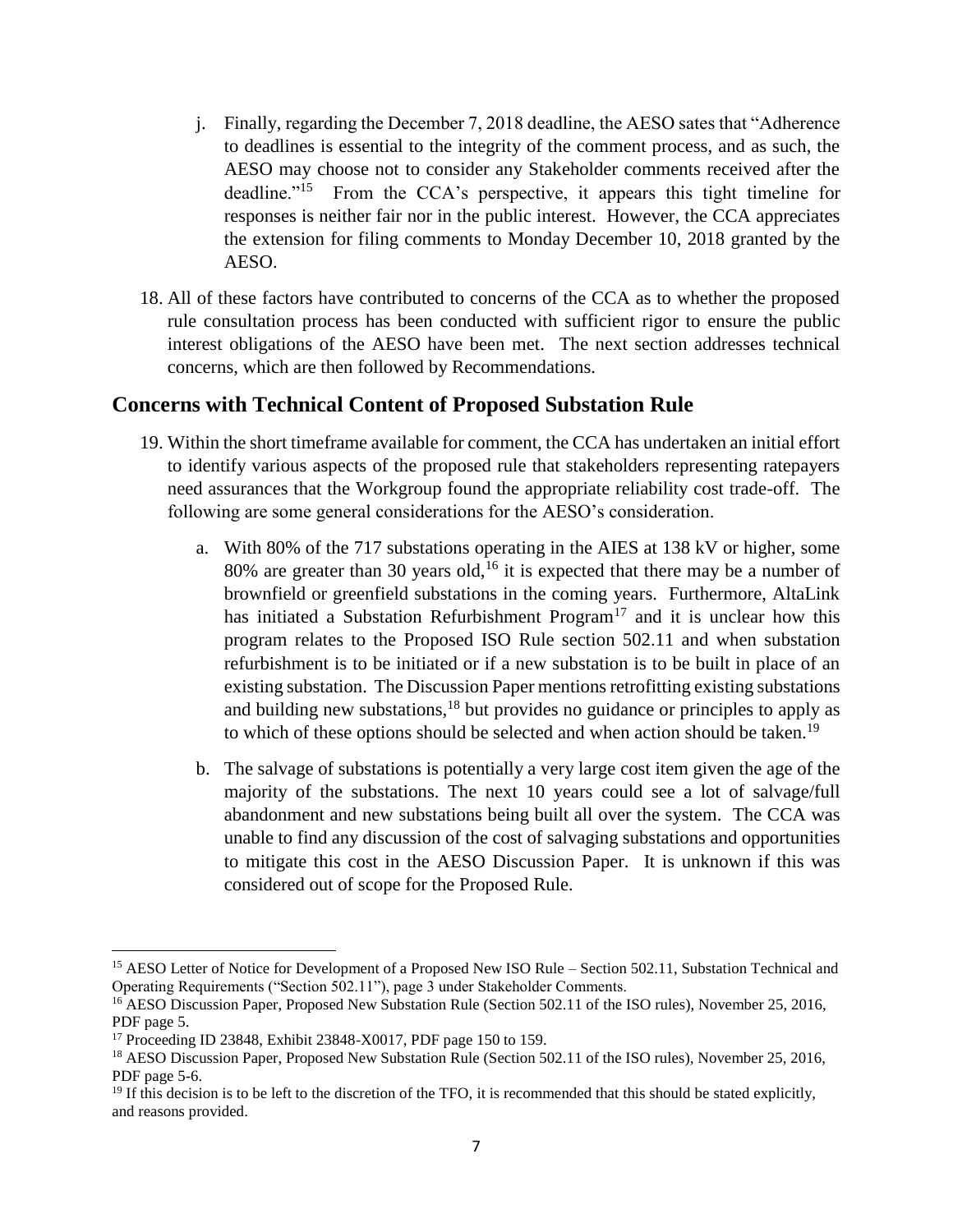- j. Finally, regarding the December 7, 2018 deadline, the AESO sates that "Adherence to deadlines is essential to the integrity of the comment process, and as such, the AESO may choose not to consider any Stakeholder comments received after the deadline."<sup>15</sup> From the CCA's perspective, it appears this tight timeline for responses is neither fair nor in the public interest. However, the CCA appreciates the extension for filing comments to Monday December 10, 2018 granted by the AESO.
- 18. All of these factors have contributed to concerns of the CCA as to whether the proposed rule consultation process has been conducted with sufficient rigor to ensure the public interest obligations of the AESO have been met. The next section addresses technical concerns, which are then followed by Recommendations.

# **Concerns with Technical Content of Proposed Substation Rule**

- 19. Within the short timeframe available for comment, the CCA has undertaken an initial effort to identify various aspects of the proposed rule that stakeholders representing ratepayers need assurances that the Workgroup found the appropriate reliability cost trade-off. The following are some general considerations for the AESO's consideration.
	- a. With 80% of the 717 substations operating in the AIES at 138 kV or higher, some 80% are greater than 30 years old,<sup>16</sup> it is expected that there may be a number of brownfield or greenfield substations in the coming years. Furthermore, AltaLink has initiated a Substation Refurbishment Program<sup>17</sup> and it is unclear how this program relates to the Proposed ISO Rule section 502.11 and when substation refurbishment is to be initiated or if a new substation is to be built in place of an existing substation. The Discussion Paper mentions retrofitting existing substations and building new substations, $18$  but provides no guidance or principles to apply as to which of these options should be selected and when action should be taken.<sup>19</sup>
	- b. The salvage of substations is potentially a very large cost item given the age of the majority of the substations. The next 10 years could see a lot of salvage/full abandonment and new substations being built all over the system. The CCA was unable to find any discussion of the cost of salvaging substations and opportunities to mitigate this cost in the AESO Discussion Paper. It is unknown if this was considered out of scope for the Proposed Rule.

<sup>&</sup>lt;sup>15</sup> AESO Letter of Notice for Development of a Proposed New ISO Rule – Section 502.11, Substation Technical and Operating Requirements ("Section 502.11"), page 3 under Stakeholder Comments.

<sup>&</sup>lt;sup>16</sup> AESO Discussion Paper, Proposed New Substation Rule (Section 502.11 of the ISO rules), November 25, 2016, PDF page 5.

<sup>17</sup> Proceeding ID 23848, Exhibit 23848-X0017, PDF page 150 to 159.

<sup>&</sup>lt;sup>18</sup> AESO Discussion Paper, Proposed New Substation Rule (Section 502.11 of the ISO rules), November 25, 2016, PDF page 5-6.

 $19$  If this decision is to be left to the discretion of the TFO, it is recommended that this should be stated explicitly, and reasons provided.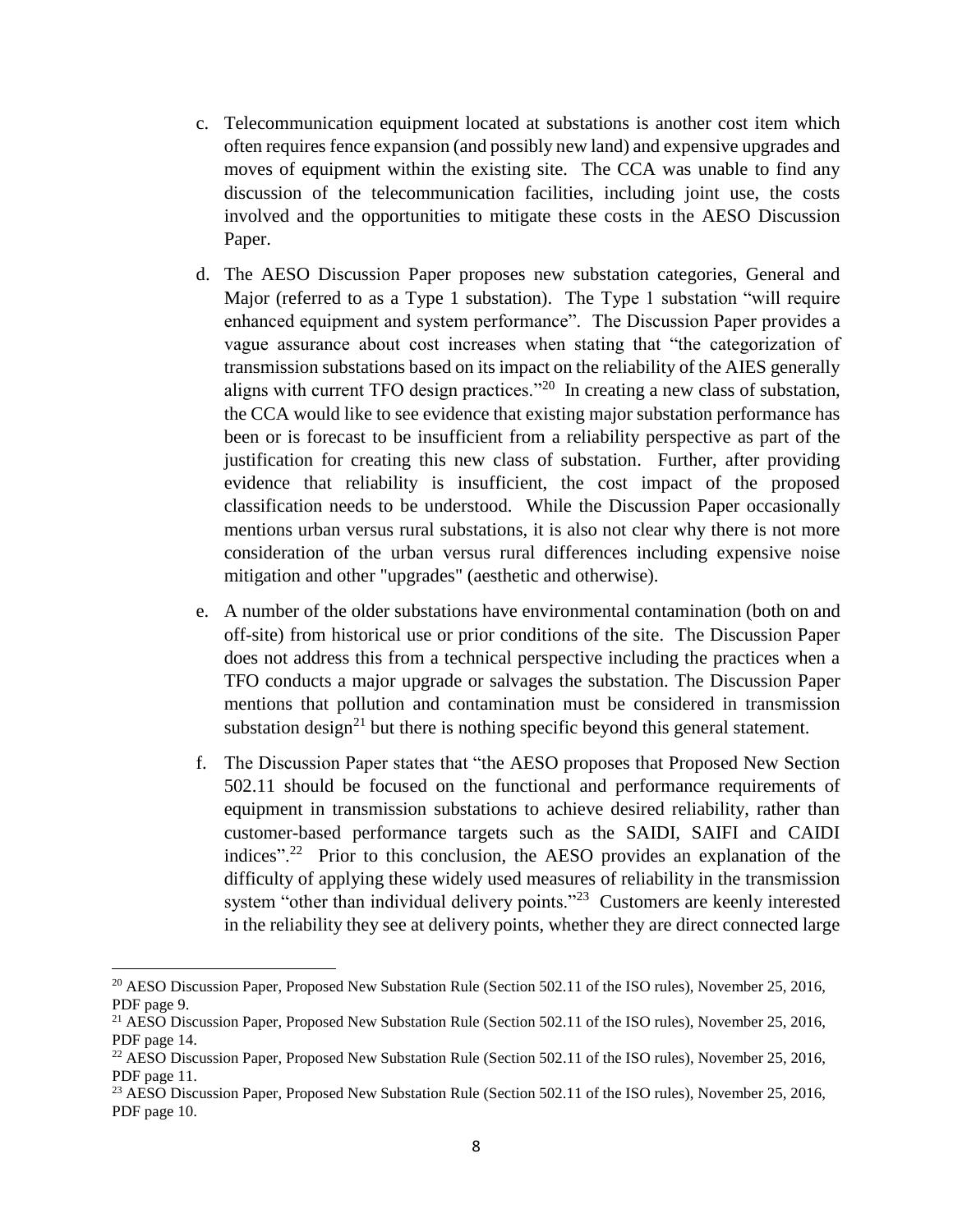- c. Telecommunication equipment located at substations is another cost item which often requires fence expansion (and possibly new land) and expensive upgrades and moves of equipment within the existing site. The CCA was unable to find any discussion of the telecommunication facilities, including joint use, the costs involved and the opportunities to mitigate these costs in the AESO Discussion Paper.
- d. The AESO Discussion Paper proposes new substation categories, General and Major (referred to as a Type 1 substation). The Type 1 substation "will require enhanced equipment and system performance". The Discussion Paper provides a vague assurance about cost increases when stating that "the categorization of transmission substations based on its impact on the reliability of the AIES generally aligns with current TFO design practices."<sup>20</sup> In creating a new class of substation, the CCA would like to see evidence that existing major substation performance has been or is forecast to be insufficient from a reliability perspective as part of the justification for creating this new class of substation. Further, after providing evidence that reliability is insufficient, the cost impact of the proposed classification needs to be understood. While the Discussion Paper occasionally mentions urban versus rural substations, it is also not clear why there is not more consideration of the urban versus rural differences including expensive noise mitigation and other "upgrades" (aesthetic and otherwise).
- e. A number of the older substations have environmental contamination (both on and off-site) from historical use or prior conditions of the site. The Discussion Paper does not address this from a technical perspective including the practices when a TFO conducts a major upgrade or salvages the substation. The Discussion Paper mentions that pollution and contamination must be considered in transmission substation design<sup>21</sup> but there is nothing specific beyond this general statement.
- f. The Discussion Paper states that "the AESO proposes that Proposed New Section 502.11 should be focused on the functional and performance requirements of equipment in transmission substations to achieve desired reliability, rather than customer-based performance targets such as the SAIDI, SAIFI and CAIDI indices".<sup>22</sup> Prior to this conclusion, the AESO provides an explanation of the difficulty of applying these widely used measures of reliability in the transmission system "other than individual delivery points."<sup>23</sup> Customers are keenly interested in the reliability they see at delivery points, whether they are direct connected large

<sup>20</sup> AESO Discussion Paper, Proposed New Substation Rule (Section 502.11 of the ISO rules), November 25, 2016, PDF page 9.

<sup>&</sup>lt;sup>21</sup> AESO Discussion Paper, Proposed New Substation Rule (Section 502.11 of the ISO rules), November 25, 2016, PDF page 14.

<sup>&</sup>lt;sup>22</sup> AESO Discussion Paper, Proposed New Substation Rule (Section 502.11 of the ISO rules), November 25, 2016, PDF page 11.

<sup>&</sup>lt;sup>23</sup> AESO Discussion Paper, Proposed New Substation Rule (Section 502.11 of the ISO rules), November 25, 2016, PDF page 10.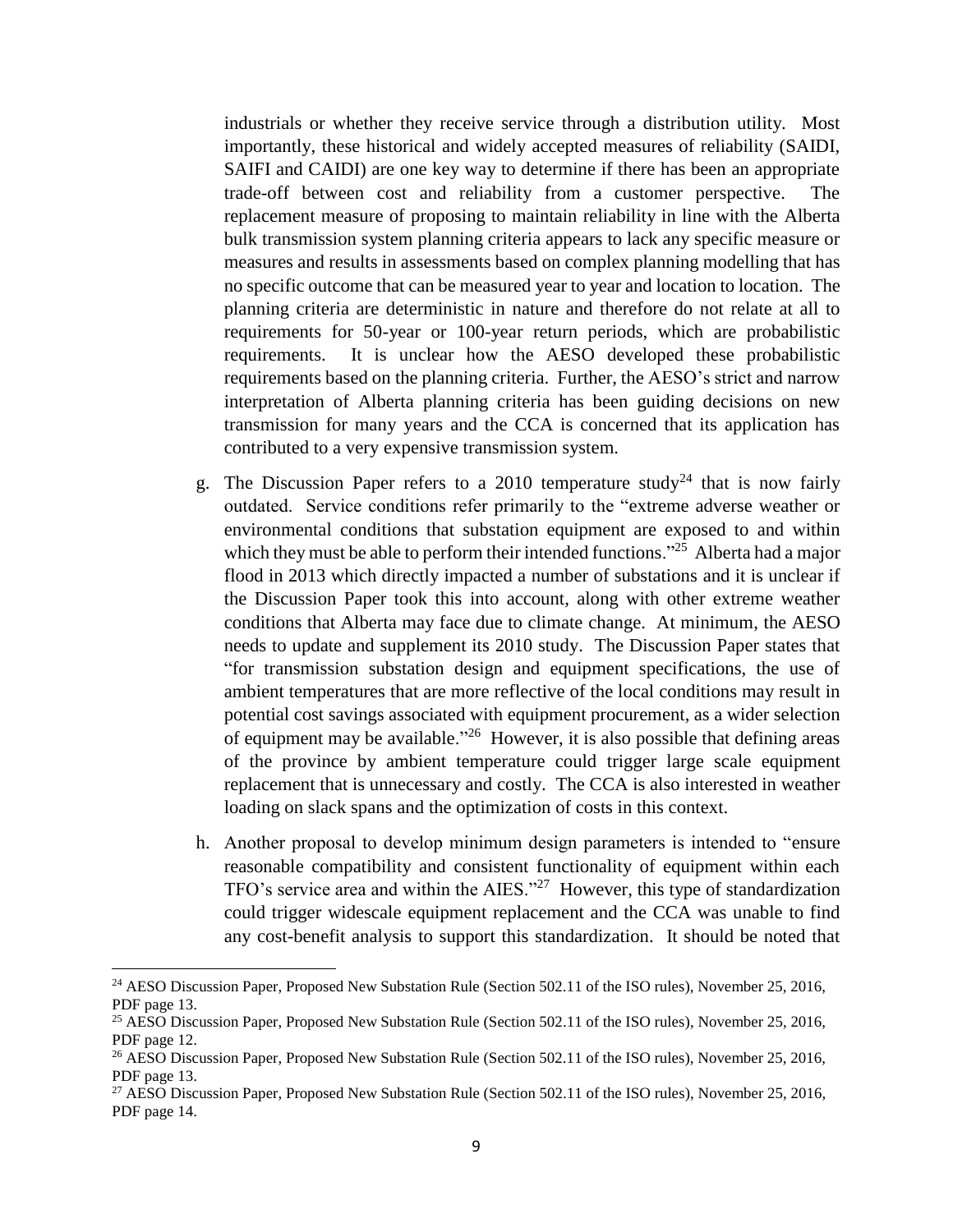industrials or whether they receive service through a distribution utility. Most importantly, these historical and widely accepted measures of reliability (SAIDI, SAIFI and CAIDI) are one key way to determine if there has been an appropriate trade-off between cost and reliability from a customer perspective. The replacement measure of proposing to maintain reliability in line with the Alberta bulk transmission system planning criteria appears to lack any specific measure or measures and results in assessments based on complex planning modelling that has no specific outcome that can be measured year to year and location to location. The planning criteria are deterministic in nature and therefore do not relate at all to requirements for 50-year or 100-year return periods, which are probabilistic requirements. It is unclear how the AESO developed these probabilistic requirements based on the planning criteria. Further, the AESO's strict and narrow interpretation of Alberta planning criteria has been guiding decisions on new transmission for many years and the CCA is concerned that its application has contributed to a very expensive transmission system.

- g. The Discussion Paper refers to a 2010 temperature study<sup>24</sup> that is now fairly outdated. Service conditions refer primarily to the "extreme adverse weather or environmental conditions that substation equipment are exposed to and within which they must be able to perform their intended functions."<sup>25</sup> Alberta had a major flood in 2013 which directly impacted a number of substations and it is unclear if the Discussion Paper took this into account, along with other extreme weather conditions that Alberta may face due to climate change. At minimum, the AESO needs to update and supplement its 2010 study. The Discussion Paper states that "for transmission substation design and equipment specifications, the use of ambient temperatures that are more reflective of the local conditions may result in potential cost savings associated with equipment procurement, as a wider selection of equipment may be available.<sup> $26$ </sup> However, it is also possible that defining areas of the province by ambient temperature could trigger large scale equipment replacement that is unnecessary and costly. The CCA is also interested in weather loading on slack spans and the optimization of costs in this context.
- h. Another proposal to develop minimum design parameters is intended to "ensure reasonable compatibility and consistent functionality of equipment within each TFO's service area and within the AIES." 27 However, this type of standardization could trigger widescale equipment replacement and the CCA was unable to find any cost-benefit analysis to support this standardization. It should be noted that

<sup>&</sup>lt;sup>24</sup> AESO Discussion Paper, Proposed New Substation Rule (Section 502.11 of the ISO rules), November 25, 2016, PDF page 13.

<sup>25</sup> AESO Discussion Paper, Proposed New Substation Rule (Section 502.11 of the ISO rules), November 25, 2016, PDF page 12.

<sup>&</sup>lt;sup>26</sup> AESO Discussion Paper, Proposed New Substation Rule (Section 502.11 of the ISO rules), November 25, 2016, PDF page 13.

<sup>&</sup>lt;sup>27</sup> AESO Discussion Paper, Proposed New Substation Rule (Section 502.11 of the ISO rules), November 25, 2016, PDF page 14.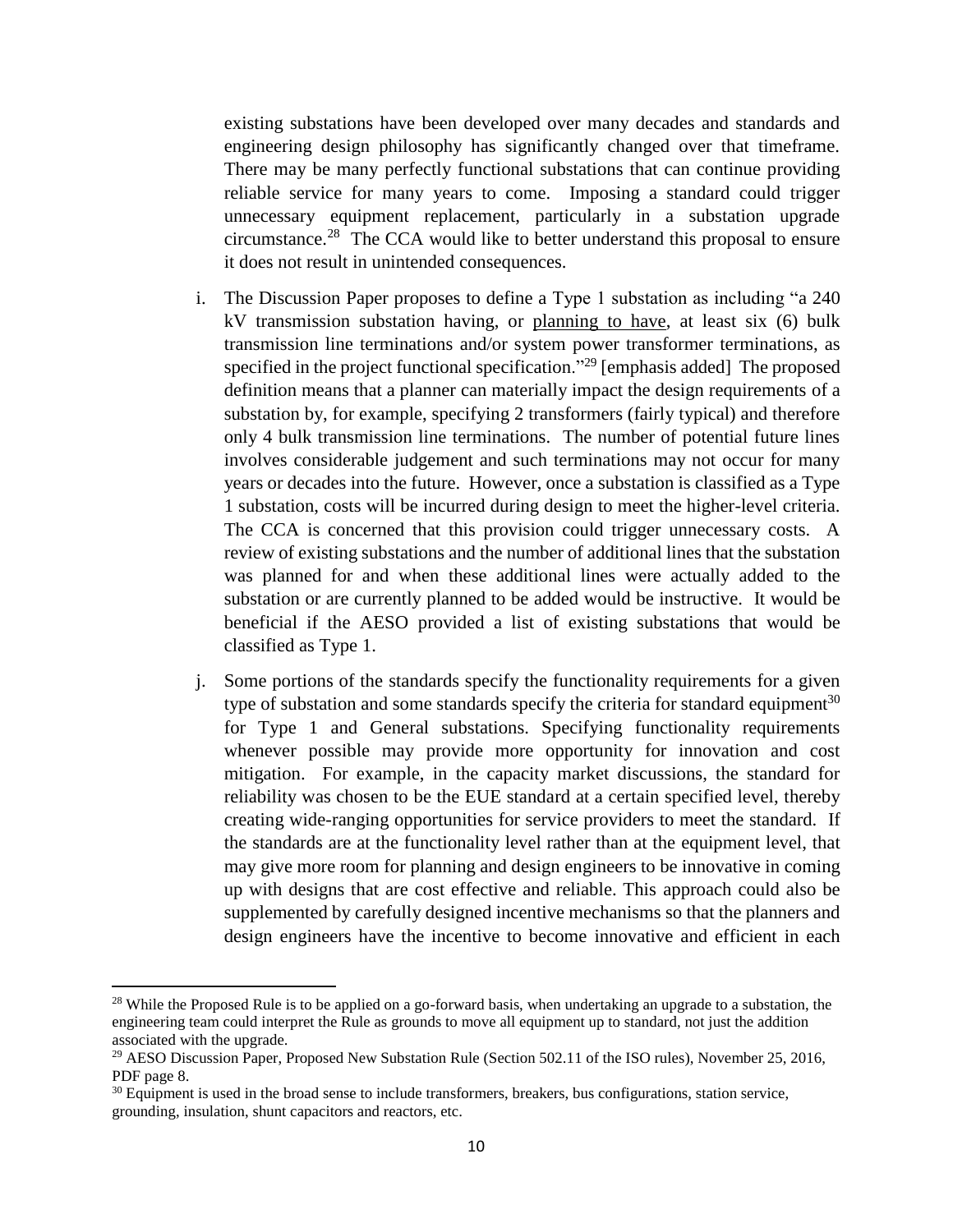existing substations have been developed over many decades and standards and engineering design philosophy has significantly changed over that timeframe. There may be many perfectly functional substations that can continue providing reliable service for many years to come. Imposing a standard could trigger unnecessary equipment replacement, particularly in a substation upgrade circumstance.<sup>28</sup> The CCA would like to better understand this proposal to ensure it does not result in unintended consequences.

- i. The Discussion Paper proposes to define a Type 1 substation as including "a 240 kV transmission substation having, or planning to have, at least six (6) bulk transmission line terminations and/or system power transformer terminations, as specified in the project functional specification."<sup>29</sup> [emphasis added] The proposed definition means that a planner can materially impact the design requirements of a substation by, for example, specifying 2 transformers (fairly typical) and therefore only 4 bulk transmission line terminations. The number of potential future lines involves considerable judgement and such terminations may not occur for many years or decades into the future. However, once a substation is classified as a Type 1 substation, costs will be incurred during design to meet the higher-level criteria. The CCA is concerned that this provision could trigger unnecessary costs. A review of existing substations and the number of additional lines that the substation was planned for and when these additional lines were actually added to the substation or are currently planned to be added would be instructive. It would be beneficial if the AESO provided a list of existing substations that would be classified as Type 1.
- j. Some portions of the standards specify the functionality requirements for a given type of substation and some standards specify the criteria for standard equipment<sup>30</sup> for Type 1 and General substations. Specifying functionality requirements whenever possible may provide more opportunity for innovation and cost mitigation. For example, in the capacity market discussions, the standard for reliability was chosen to be the EUE standard at a certain specified level, thereby creating wide-ranging opportunities for service providers to meet the standard. If the standards are at the functionality level rather than at the equipment level, that may give more room for planning and design engineers to be innovative in coming up with designs that are cost effective and reliable. This approach could also be supplemented by carefully designed incentive mechanisms so that the planners and design engineers have the incentive to become innovative and efficient in each

<sup>&</sup>lt;sup>28</sup> While the Proposed Rule is to be applied on a go-forward basis, when undertaking an upgrade to a substation, the engineering team could interpret the Rule as grounds to move all equipment up to standard, not just the addition associated with the upgrade.

<sup>&</sup>lt;sup>29</sup> AESO Discussion Paper, Proposed New Substation Rule (Section 502.11 of the ISO rules), November 25, 2016, PDF page 8.

 $30$  Equipment is used in the broad sense to include transformers, breakers, bus configurations, station service, grounding, insulation, shunt capacitors and reactors, etc.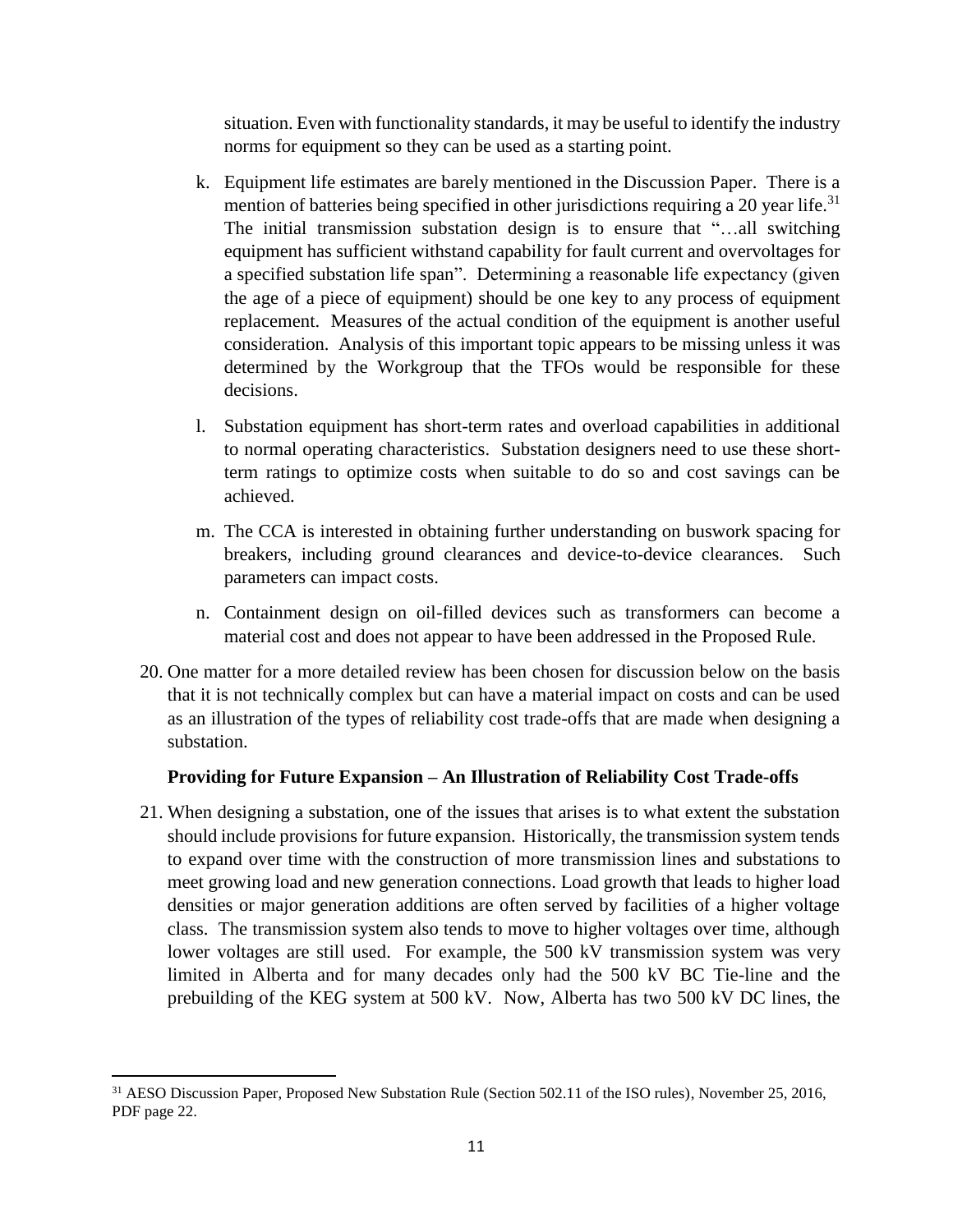situation. Even with functionality standards, it may be useful to identify the industry norms for equipment so they can be used as a starting point.

- k. Equipment life estimates are barely mentioned in the Discussion Paper. There is a mention of batteries being specified in other jurisdictions requiring a 20 year life.<sup>31</sup> The initial transmission substation design is to ensure that "…all switching equipment has sufficient withstand capability for fault current and overvoltages for a specified substation life span". Determining a reasonable life expectancy (given the age of a piece of equipment) should be one key to any process of equipment replacement. Measures of the actual condition of the equipment is another useful consideration. Analysis of this important topic appears to be missing unless it was determined by the Workgroup that the TFOs would be responsible for these decisions.
- l. Substation equipment has short-term rates and overload capabilities in additional to normal operating characteristics. Substation designers need to use these shortterm ratings to optimize costs when suitable to do so and cost savings can be achieved.
- m. The CCA is interested in obtaining further understanding on buswork spacing for breakers, including ground clearances and device-to-device clearances. Such parameters can impact costs.
- n. Containment design on oil-filled devices such as transformers can become a material cost and does not appear to have been addressed in the Proposed Rule.
- 20. One matter for a more detailed review has been chosen for discussion below on the basis that it is not technically complex but can have a material impact on costs and can be used as an illustration of the types of reliability cost trade-offs that are made when designing a substation.

#### **Providing for Future Expansion – An Illustration of Reliability Cost Trade-offs**

21. When designing a substation, one of the issues that arises is to what extent the substation should include provisions for future expansion. Historically, the transmission system tends to expand over time with the construction of more transmission lines and substations to meet growing load and new generation connections. Load growth that leads to higher load densities or major generation additions are often served by facilities of a higher voltage class. The transmission system also tends to move to higher voltages over time, although lower voltages are still used. For example, the 500 kV transmission system was very limited in Alberta and for many decades only had the 500 kV BC Tie-line and the prebuilding of the KEG system at 500 kV. Now, Alberta has two 500 kV DC lines, the

<sup>&</sup>lt;sup>31</sup> AESO Discussion Paper, Proposed New Substation Rule (Section 502.11 of the ISO rules), November 25, 2016, PDF page 22.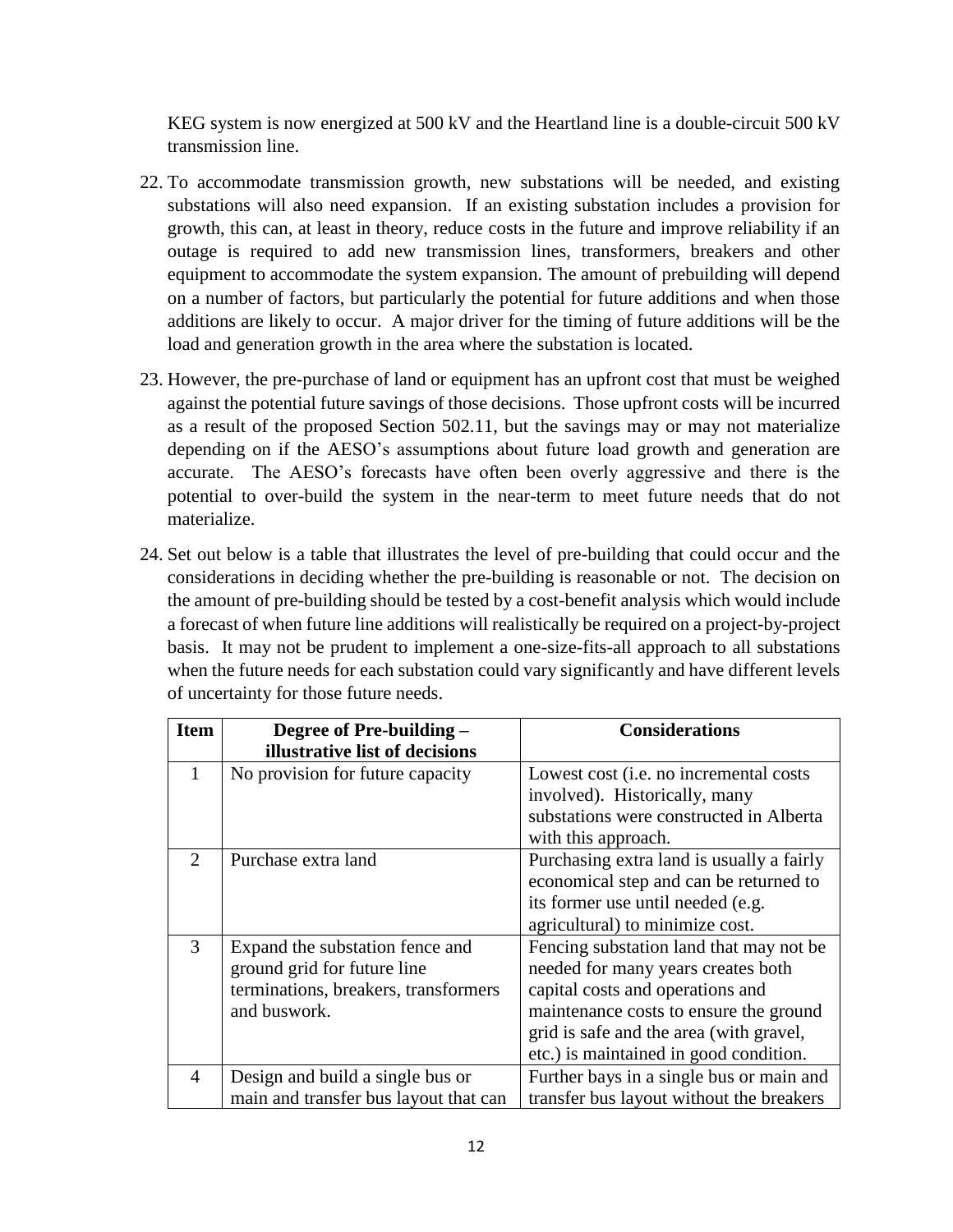KEG system is now energized at 500 kV and the Heartland line is a double-circuit 500 kV transmission line.

- 22. To accommodate transmission growth, new substations will be needed, and existing substations will also need expansion. If an existing substation includes a provision for growth, this can, at least in theory, reduce costs in the future and improve reliability if an outage is required to add new transmission lines, transformers, breakers and other equipment to accommodate the system expansion. The amount of prebuilding will depend on a number of factors, but particularly the potential for future additions and when those additions are likely to occur. A major driver for the timing of future additions will be the load and generation growth in the area where the substation is located.
- 23. However, the pre-purchase of land or equipment has an upfront cost that must be weighed against the potential future savings of those decisions. Those upfront costs will be incurred as a result of the proposed Section 502.11, but the savings may or may not materialize depending on if the AESO's assumptions about future load growth and generation are accurate. The AESO's forecasts have often been overly aggressive and there is the potential to over-build the system in the near-term to meet future needs that do not materialize.
- 24. Set out below is a table that illustrates the level of pre-building that could occur and the considerations in deciding whether the pre-building is reasonable or not. The decision on the amount of pre-building should be tested by a cost-benefit analysis which would include a forecast of when future line additions will realistically be required on a project-by-project basis. It may not be prudent to implement a one-size-fits-all approach to all substations when the future needs for each substation could vary significantly and have different levels of uncertainty for those future needs.

| <b>Item</b>   | Degree of Pre-building -              | <b>Considerations</b>                          |
|---------------|---------------------------------------|------------------------------------------------|
|               | illustrative list of decisions        |                                                |
| $\mathbf{1}$  | No provision for future capacity      | Lowest cost ( <i>i.e.</i> no incremental costs |
|               |                                       | involved). Historically, many                  |
|               |                                       | substations were constructed in Alberta        |
|               |                                       | with this approach.                            |
| $\mathcal{D}$ | Purchase extra land                   | Purchasing extra land is usually a fairly      |
|               |                                       | economical step and can be returned to         |
|               |                                       | its former use until needed (e.g.              |
|               |                                       | agricultural) to minimize cost.                |
| 3             | Expand the substation fence and       | Fencing substation land that may not be        |
|               | ground grid for future line           | needed for many years creates both             |
|               | terminations, breakers, transformers  | capital costs and operations and               |
|               | and buswork.                          | maintenance costs to ensure the ground         |
|               |                                       | grid is safe and the area (with gravel,        |
|               |                                       | etc.) is maintained in good condition.         |
| 4             | Design and build a single bus or      | Further bays in a single bus or main and       |
|               | main and transfer bus layout that can | transfer bus layout without the breakers       |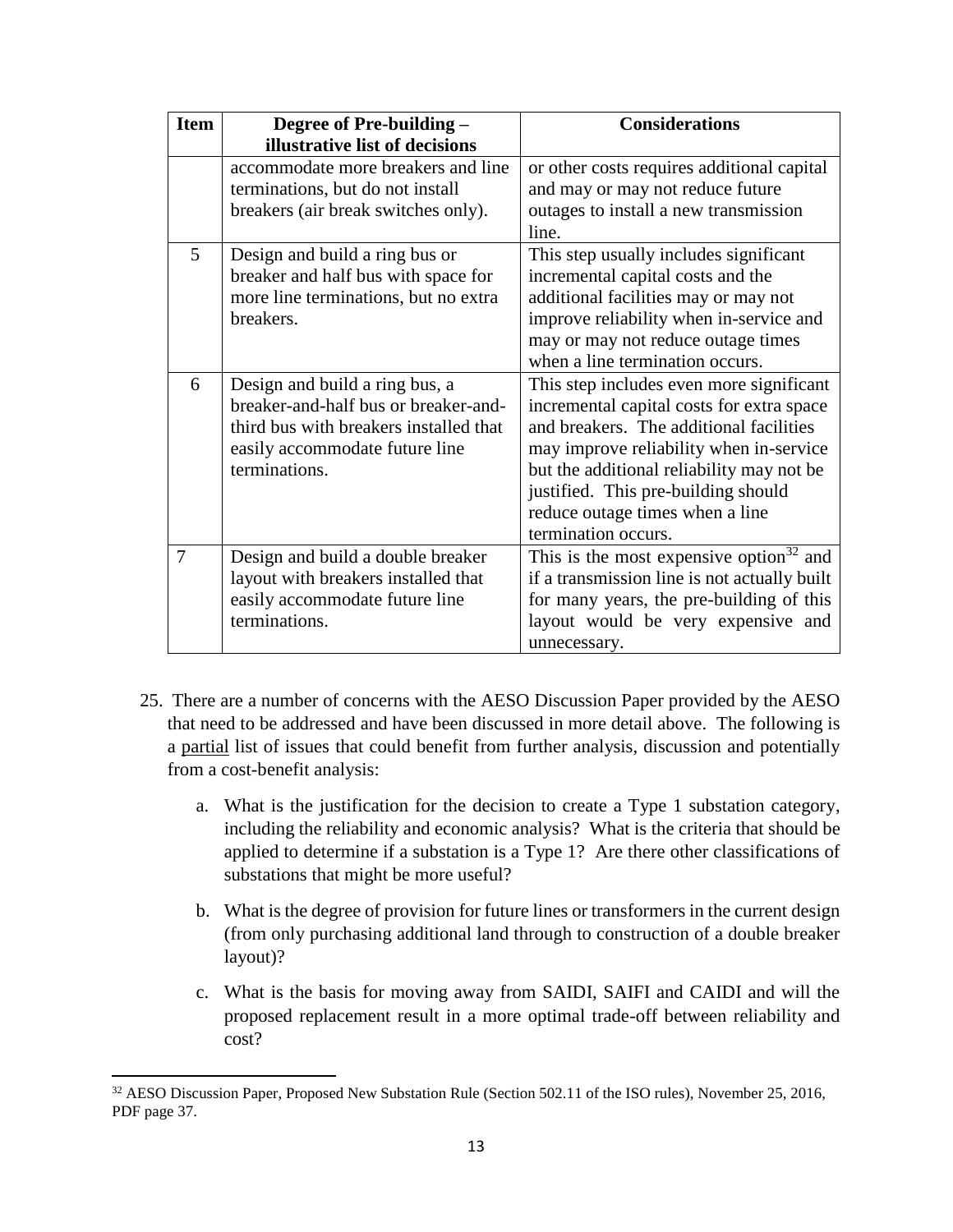| <b>Item</b> | Degree of Pre-building -               | <b>Considerations</b>                               |  |
|-------------|----------------------------------------|-----------------------------------------------------|--|
|             | illustrative list of decisions         |                                                     |  |
|             | accommodate more breakers and line     | or other costs requires additional capital          |  |
|             | terminations, but do not install       | and may or may not reduce future                    |  |
|             | breakers (air break switches only).    | outages to install a new transmission               |  |
|             |                                        | line.                                               |  |
| 5           | Design and build a ring bus or         | This step usually includes significant              |  |
|             | breaker and half bus with space for    | incremental capital costs and the                   |  |
|             | more line terminations, but no extra   | additional facilities may or may not                |  |
|             | breakers.                              | improve reliability when in-service and             |  |
|             |                                        | may or may not reduce outage times                  |  |
|             |                                        | when a line termination occurs.                     |  |
| 6           | Design and build a ring bus, a         | This step includes even more significant            |  |
|             | breaker-and-half bus or breaker-and-   | incremental capital costs for extra space           |  |
|             | third bus with breakers installed that | and breakers. The additional facilities             |  |
|             | easily accommodate future line         | may improve reliability when in-service             |  |
|             | terminations.                          | but the additional reliability may not be           |  |
|             |                                        | justified. This pre-building should                 |  |
|             |                                        | reduce outage times when a line                     |  |
|             |                                        | termination occurs.                                 |  |
| 7           | Design and build a double breaker      | This is the most expensive option <sup>32</sup> and |  |
|             | layout with breakers installed that    | if a transmission line is not actually built        |  |
|             | easily accommodate future line         | for many years, the pre-building of this            |  |
|             | terminations.                          | layout would be very expensive and                  |  |
|             |                                        | unnecessary.                                        |  |

- 25. There are a number of concerns with the AESO Discussion Paper provided by the AESO that need to be addressed and have been discussed in more detail above. The following is a partial list of issues that could benefit from further analysis, discussion and potentially from a cost-benefit analysis:
	- a. What is the justification for the decision to create a Type 1 substation category, including the reliability and economic analysis? What is the criteria that should be applied to determine if a substation is a Type 1? Are there other classifications of substations that might be more useful?
	- b. What is the degree of provision for future lines or transformers in the current design (from only purchasing additional land through to construction of a double breaker layout)?
	- c. What is the basis for moving away from SAIDI, SAIFI and CAIDI and will the proposed replacement result in a more optimal trade-off between reliability and cost?

<sup>&</sup>lt;sup>32</sup> AESO Discussion Paper, Proposed New Substation Rule (Section 502.11 of the ISO rules), November 25, 2016, PDF page 37.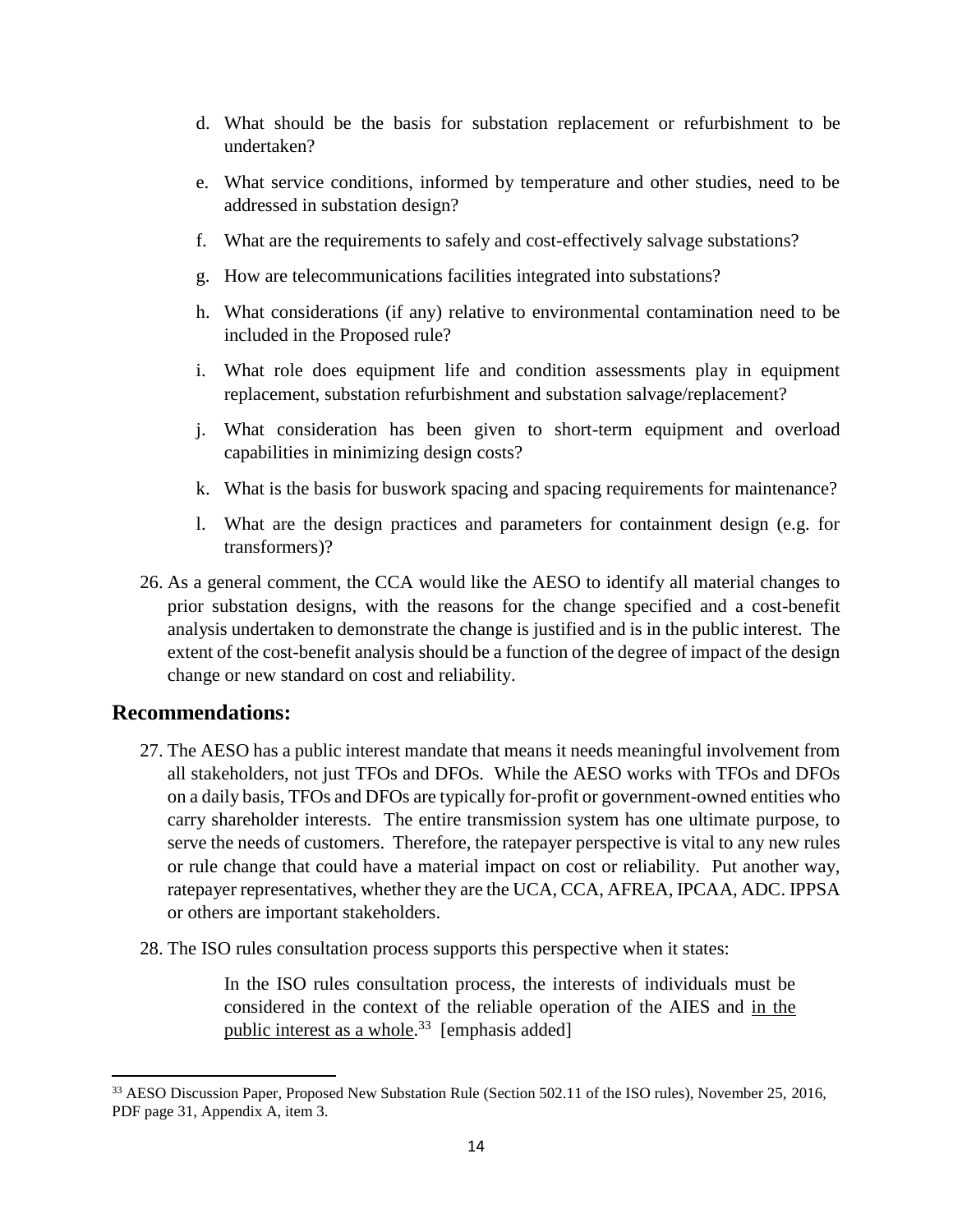- d. What should be the basis for substation replacement or refurbishment to be undertaken?
- e. What service conditions, informed by temperature and other studies, need to be addressed in substation design?
- f. What are the requirements to safely and cost-effectively salvage substations?
- g. How are telecommunications facilities integrated into substations?
- h. What considerations (if any) relative to environmental contamination need to be included in the Proposed rule?
- i. What role does equipment life and condition assessments play in equipment replacement, substation refurbishment and substation salvage/replacement?
- j. What consideration has been given to short-term equipment and overload capabilities in minimizing design costs?
- k. What is the basis for buswork spacing and spacing requirements for maintenance?
- l. What are the design practices and parameters for containment design (e.g. for transformers)?
- 26. As a general comment, the CCA would like the AESO to identify all material changes to prior substation designs, with the reasons for the change specified and a cost-benefit analysis undertaken to demonstrate the change is justified and is in the public interest. The extent of the cost-benefit analysis should be a function of the degree of impact of the design change or new standard on cost and reliability.

# **Recommendations:**

 $\overline{a}$ 

- 27. The AESO has a public interest mandate that means it needs meaningful involvement from all stakeholders, not just TFOs and DFOs. While the AESO works with TFOs and DFOs on a daily basis, TFOs and DFOs are typically for-profit or government-owned entities who carry shareholder interests. The entire transmission system has one ultimate purpose, to serve the needs of customers. Therefore, the ratepayer perspective is vital to any new rules or rule change that could have a material impact on cost or reliability. Put another way, ratepayer representatives, whether they are the UCA, CCA, AFREA, IPCAA, ADC. IPPSA or others are important stakeholders.
- 28. The ISO rules consultation process supports this perspective when it states:

In the ISO rules consultation process, the interests of individuals must be considered in the context of the reliable operation of the AIES and in the public interest as a whole.<sup>33</sup> [emphasis added]

<sup>&</sup>lt;sup>33</sup> AESO Discussion Paper, Proposed New Substation Rule (Section 502.11 of the ISO rules), November 25, 2016, PDF page 31, Appendix A, item 3.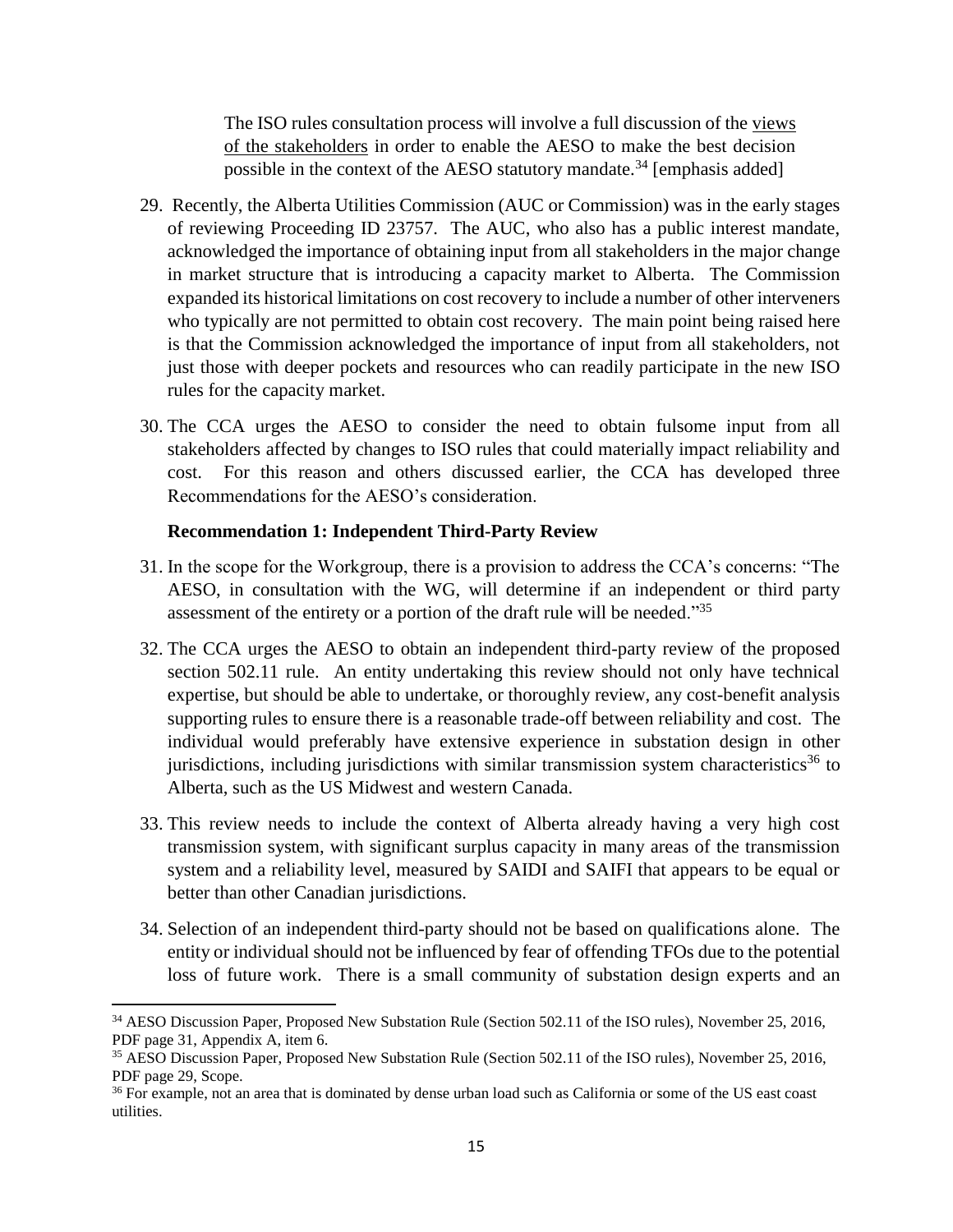The ISO rules consultation process will involve a full discussion of the views of the stakeholders in order to enable the AESO to make the best decision possible in the context of the AESO statutory mandate.<sup>34</sup> [emphasis added]

- 29. Recently, the Alberta Utilities Commission (AUC or Commission) was in the early stages of reviewing Proceeding ID 23757. The AUC, who also has a public interest mandate, acknowledged the importance of obtaining input from all stakeholders in the major change in market structure that is introducing a capacity market to Alberta. The Commission expanded its historical limitations on cost recovery to include a number of other interveners who typically are not permitted to obtain cost recovery. The main point being raised here is that the Commission acknowledged the importance of input from all stakeholders, not just those with deeper pockets and resources who can readily participate in the new ISO rules for the capacity market.
- 30. The CCA urges the AESO to consider the need to obtain fulsome input from all stakeholders affected by changes to ISO rules that could materially impact reliability and cost. For this reason and others discussed earlier, the CCA has developed three Recommendations for the AESO's consideration.

#### **Recommendation 1: Independent Third-Party Review**

- 31. In the scope for the Workgroup, there is a provision to address the CCA's concerns: "The AESO, in consultation with the WG, will determine if an independent or third party assessment of the entirety or a portion of the draft rule will be needed."<sup>35</sup>
- 32. The CCA urges the AESO to obtain an independent third-party review of the proposed section 502.11 rule. An entity undertaking this review should not only have technical expertise, but should be able to undertake, or thoroughly review, any cost-benefit analysis supporting rules to ensure there is a reasonable trade-off between reliability and cost. The individual would preferably have extensive experience in substation design in other jurisdictions, including jurisdictions with similar transmission system characteristics<sup>36</sup> to Alberta, such as the US Midwest and western Canada.
- 33. This review needs to include the context of Alberta already having a very high cost transmission system, with significant surplus capacity in many areas of the transmission system and a reliability level, measured by SAIDI and SAIFI that appears to be equal or better than other Canadian jurisdictions.
- 34. Selection of an independent third-party should not be based on qualifications alone. The entity or individual should not be influenced by fear of offending TFOs due to the potential loss of future work. There is a small community of substation design experts and an

<sup>34</sup> AESO Discussion Paper, Proposed New Substation Rule (Section 502.11 of the ISO rules), November 25, 2016, PDF page 31, Appendix A, item 6.

<sup>&</sup>lt;sup>35</sup> AESO Discussion Paper, Proposed New Substation Rule (Section 502.11 of the ISO rules), November 25, 2016, PDF page 29, Scope.

<sup>&</sup>lt;sup>36</sup> For example, not an area that is dominated by dense urban load such as California or some of the US east coast utilities.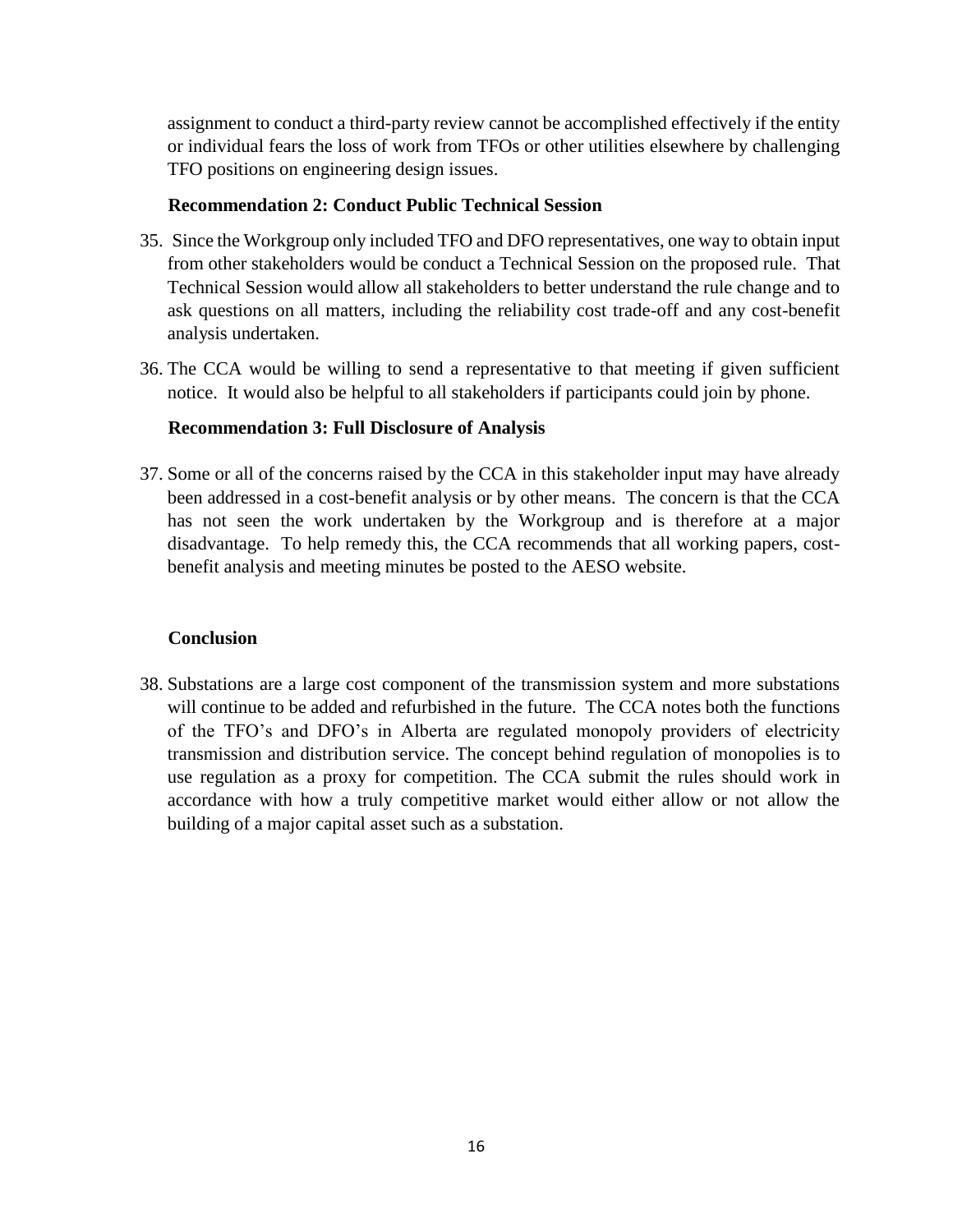assignment to conduct a third-party review cannot be accomplished effectively if the entity or individual fears the loss of work from TFOs or other utilities elsewhere by challenging TFO positions on engineering design issues.

#### **Recommendation 2: Conduct Public Technical Session**

- 35. Since the Workgroup only included TFO and DFO representatives, one way to obtain input from other stakeholders would be conduct a Technical Session on the proposed rule. That Technical Session would allow all stakeholders to better understand the rule change and to ask questions on all matters, including the reliability cost trade-off and any cost-benefit analysis undertaken.
- 36. The CCA would be willing to send a representative to that meeting if given sufficient notice. It would also be helpful to all stakeholders if participants could join by phone.

#### **Recommendation 3: Full Disclosure of Analysis**

37. Some or all of the concerns raised by the CCA in this stakeholder input may have already been addressed in a cost-benefit analysis or by other means. The concern is that the CCA has not seen the work undertaken by the Workgroup and is therefore at a major disadvantage. To help remedy this, the CCA recommends that all working papers, costbenefit analysis and meeting minutes be posted to the AESO website.

#### **Conclusion**

38. Substations are a large cost component of the transmission system and more substations will continue to be added and refurbished in the future. The CCA notes both the functions of the TFO's and DFO's in Alberta are regulated monopoly providers of electricity transmission and distribution service. The concept behind regulation of monopolies is to use regulation as a proxy for competition. The CCA submit the rules should work in accordance with how a truly competitive market would either allow or not allow the building of a major capital asset such as a substation.